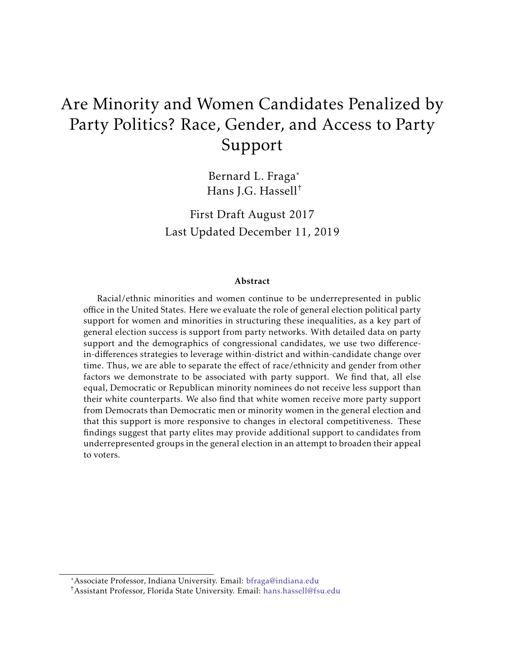# Are Minority and Women Candidates Penalized by Party Politics? Race, Gender, and Access to Party Support

Bernard L. Fraga\* Hans J.G. Hassell†

First Draft August 2017 Last Updated December 11, 2019

#### Abstract

Racial/ethnic minorities and women continue to be underrepresented in public office in the United States. Here we evaluate the role of general election political party support for women and minorities in structuring these inequalities, as a key part of general election success is support from party networks. With detailed data on party support and the demographics of congressional candidates, we use two differencein-differences strategies to leverage within-district and within-candidate change over time. Thus, we are able to separate the effect of race/ethnicity and gender from other factors we demonstrate to be associated with party support. We find that, all else equal, Democratic or Republican minority nominees do not receive less support than their white counterparts. We also find that white women receive more party support from Democrats than Democratic men or minority women in the general election and that this support is more responsive to changes in electoral competitiveness. These findings suggest that party elites may provide additional support to candidates from underrepresented groups in the general election in an attempt to broaden their appeal to voters.

<sup>\*</sup>Associate Professor, Indiana University. Email: [bfraga@indiana.edu](mailto:bfraga@indiana.edu)

<sup>†</sup>Assistant Professor, Florida State University. Email: [hans.hassell@fsu.edu](mailto:hans.hassell@fsu.edu)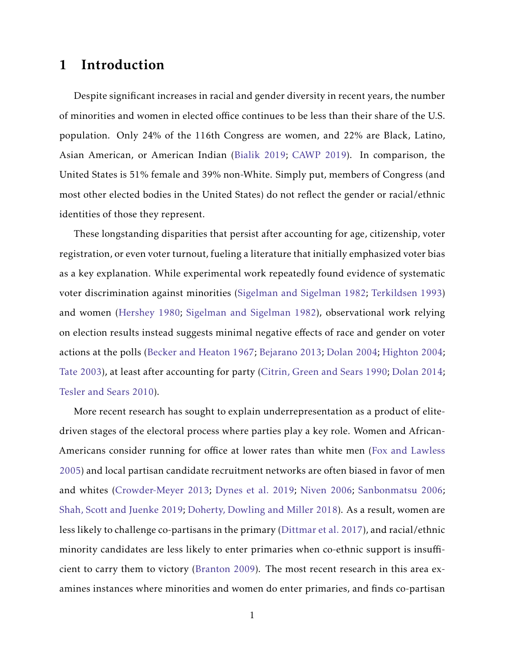# 1 Introduction

Despite significant increases in racial and gender diversity in recent years, the number of minorities and women in elected office continues to be less than their share of the U.S. population. Only 24% of the 116th Congress are women, and 22% are Black, Latino, Asian American, or American Indian [\(Bialik](#page-24-0) [2019;](#page-24-0) [CAWP](#page-25-0) [2019\)](#page-25-0). In comparison, the United States is 51% female and 39% non-White. Simply put, members of Congress (and most other elected bodies in the United States) do not reflect the gender or racial/ethnic identities of those they represent.

These longstanding disparities that persist after accounting for age, citizenship, voter registration, or even voter turnout, fueling a literature that initially emphasized voter bias as a key explanation. While experimental work repeatedly found evidence of systematic voter discrimination against minorities [\(Sigelman and Sigelman](#page-31-0) [1982;](#page-31-0) [Terkildsen](#page-31-1) [1993\)](#page-31-1) and women [\(Hershey](#page-28-0) [1980;](#page-28-0) [Sigelman and Sigelman](#page-31-0) [1982\)](#page-31-0), observational work relying on election results instead suggests minimal negative effects of race and gender on voter actions at the polls [\(Becker and Heaton](#page-24-1) [1967;](#page-24-1) [Bejarano](#page-24-2) [2013;](#page-24-2) [Dolan](#page-26-0) [2004;](#page-26-0) [Highton](#page-28-1) [2004;](#page-28-1) [Tate](#page-31-2) [2003\)](#page-31-2), at least after accounting for party [\(Citrin, Green and Sears](#page-25-1) [1990;](#page-25-1) [Dolan](#page-26-1) [2014;](#page-26-1) [Tesler and Sears](#page-31-3) [2010\)](#page-31-3).

More recent research has sought to explain underrepresentation as a product of elitedriven stages of the electoral process where parties play a key role. Women and African-Americans consider running for office at lower rates than white men [\(Fox and Lawless](#page-26-2) [2005\)](#page-26-2) and local partisan candidate recruitment networks are often biased in favor of men and whites [\(Crowder-Meyer](#page-25-2) [2013;](#page-25-2) [Dynes et al.](#page-26-3) [2019;](#page-26-3) [Niven](#page-30-0) [2006;](#page-30-0) [Sanbonmatsu](#page-30-1) [2006;](#page-30-1) [Shah, Scott and Juenke](#page-31-4) [2019;](#page-31-4) [Doherty, Dowling and Miller](#page-26-4) [2018\)](#page-26-4). As a result, women are less likely to challenge co-partisans in the primary [\(Dittmar et al.](#page-26-5) [2017\)](#page-26-5), and racial/ethnic minority candidates are less likely to enter primaries when co-ethnic support is insufficient to carry them to victory [\(Branton](#page-24-3) [2009\)](#page-24-3). The most recent research in this area examines instances where minorities and women do enter primaries, and finds co-partisan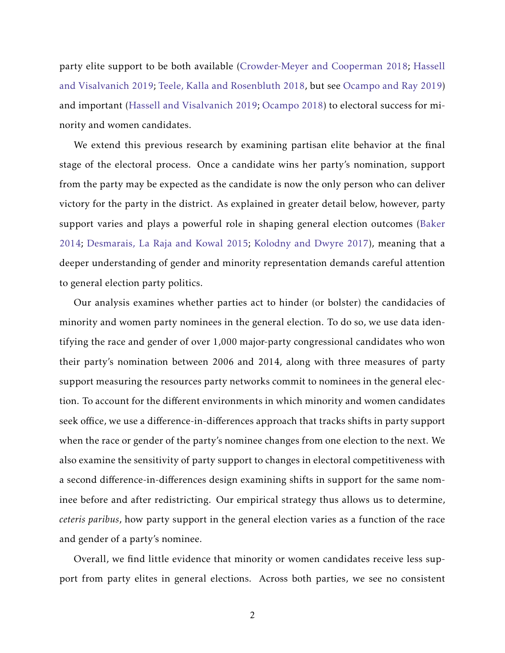party elite support to be both available [\(Crowder-Meyer and Cooperman](#page-25-3) [2018;](#page-25-3) [Hassell](#page-28-2) [and Visalvanich](#page-28-2) [2019;](#page-28-2) [Teele, Kalla and Rosenbluth](#page-31-5) [2018,](#page-31-5) but see [Ocampo and Ray](#page-30-2) [2019\)](#page-30-2) and important [\(Hassell and Visalvanich](#page-28-2) [2019;](#page-28-2) [Ocampo](#page-30-3) [2018\)](#page-30-3) to electoral success for minority and women candidates.

We extend this previous research by examining partisan elite behavior at the final stage of the electoral process. Once a candidate wins her party's nomination, support from the party may be expected as the candidate is now the only person who can deliver victory for the party in the district. As explained in greater detail below, however, party support varies and plays a powerful role in shaping general election outcomes [\(Baker](#page-24-4) [2014;](#page-24-4) [Desmarais, La Raja and Kowal](#page-25-4) [2015;](#page-25-4) [Kolodny and Dwyre](#page-29-0) [2017\)](#page-29-0), meaning that a deeper understanding of gender and minority representation demands careful attention to general election party politics.

Our analysis examines whether parties act to hinder (or bolster) the candidacies of minority and women party nominees in the general election. To do so, we use data identifying the race and gender of over 1,000 major-party congressional candidates who won their party's nomination between 2006 and 2014, along with three measures of party support measuring the resources party networks commit to nominees in the general election. To account for the different environments in which minority and women candidates seek office, we use a difference-in-differences approach that tracks shifts in party support when the race or gender of the party's nominee changes from one election to the next. We also examine the sensitivity of party support to changes in electoral competitiveness with a second difference-in-differences design examining shifts in support for the same nominee before and after redistricting. Our empirical strategy thus allows us to determine, *ceteris paribus*, how party support in the general election varies as a function of the race and gender of a party's nominee.

Overall, we find little evidence that minority or women candidates receive less support from party elites in general elections. Across both parties, we see no consistent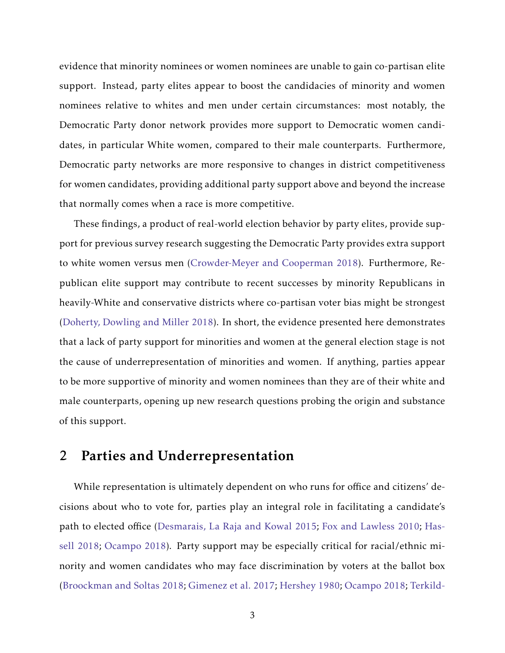evidence that minority nominees or women nominees are unable to gain co-partisan elite support. Instead, party elites appear to boost the candidacies of minority and women nominees relative to whites and men under certain circumstances: most notably, the Democratic Party donor network provides more support to Democratic women candidates, in particular White women, compared to their male counterparts. Furthermore, Democratic party networks are more responsive to changes in district competitiveness for women candidates, providing additional party support above and beyond the increase that normally comes when a race is more competitive.

These findings, a product of real-world election behavior by party elites, provide support for previous survey research suggesting the Democratic Party provides extra support to white women versus men [\(Crowder-Meyer and Cooperman](#page-25-3) [2018\)](#page-25-3). Furthermore, Republican elite support may contribute to recent successes by minority Republicans in heavily-White and conservative districts where co-partisan voter bias might be strongest [\(Doherty, Dowling and Miller](#page-26-4) [2018\)](#page-26-4). In short, the evidence presented here demonstrates that a lack of party support for minorities and women at the general election stage is not the cause of underrepresentation of minorities and women. If anything, parties appear to be more supportive of minority and women nominees than they are of their white and male counterparts, opening up new research questions probing the origin and substance of this support.

# 2 Parties and Underrepresentation

While representation is ultimately dependent on who runs for office and citizens' decisions about who to vote for, parties play an integral role in facilitating a candidate's path to elected office [\(Desmarais, La Raja and Kowal](#page-25-4) [2015;](#page-25-4) [Fox and Lawless](#page-26-6) [2010;](#page-26-6) [Has](#page-27-0)[sell](#page-27-0) [2018;](#page-27-0) [Ocampo](#page-30-3) [2018\)](#page-30-3). Party support may be especially critical for racial/ethnic minority and women candidates who may face discrimination by voters at the ballot box [\(Broockman and Soltas](#page-25-5) [2018;](#page-25-5) [Gimenez et al.](#page-27-1) [2017;](#page-27-1) [Hershey](#page-28-0) [1980;](#page-28-0) [Ocampo](#page-30-3) [2018;](#page-30-3) [Terkild-](#page-31-1)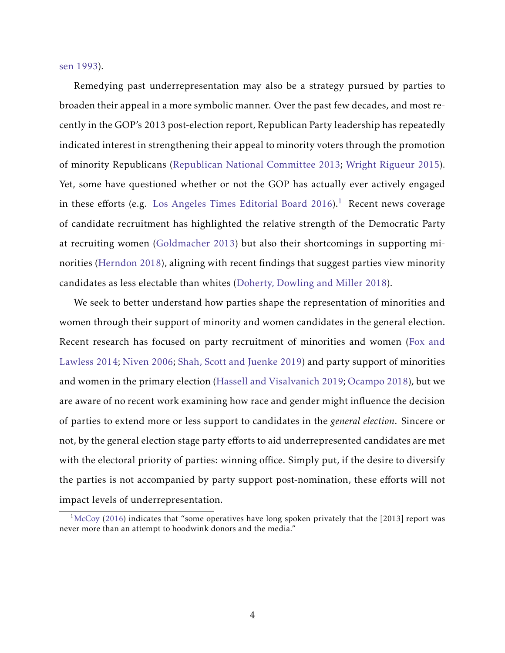[sen](#page-31-1) [1993\)](#page-31-1).

Remedying past underrepresentation may also be a strategy pursued by parties to broaden their appeal in a more symbolic manner. Over the past few decades, and most recently in the GOP's 2013 post-election report, Republican Party leadership has repeatedly indicated interest in strengthening their appeal to minority voters through the promotion of minority Republicans [\(Republican National Committee](#page-30-4) [2013;](#page-30-4) [Wright Rigueur](#page-32-0) [2015\)](#page-32-0). Yet, some have questioned whether or not the GOP has actually ever actively engaged in these efforts (e.g. [Los Angeles Times Editorial Board](#page-29-1) [2016\)](#page-29-1).<sup>[1](#page-4-0)</sup> Recent news coverage of candidate recruitment has highlighted the relative strength of the Democratic Party at recruiting women [\(Goldmacher](#page-27-2) [2013\)](#page-27-2) but also their shortcomings in supporting minorities [\(Herndon](#page-28-3) [2018\)](#page-28-3), aligning with recent findings that suggest parties view minority candidates as less electable than whites [\(Doherty, Dowling and Miller](#page-26-4) [2018\)](#page-26-4).

We seek to better understand how parties shape the representation of minorities and women through their support of minority and women candidates in the general election. Recent research has focused on party recruitment of minorities and women [\(Fox and](#page-26-7) [Lawless](#page-26-7) [2014;](#page-26-7) [Niven](#page-30-0) [2006;](#page-30-0) [Shah, Scott and Juenke](#page-31-4) [2019\)](#page-31-4) and party support of minorities and women in the primary election [\(Hassell and Visalvanich](#page-28-2) [2019;](#page-28-2) [Ocampo](#page-30-3) [2018\)](#page-30-3), but we are aware of no recent work examining how race and gender might influence the decision of parties to extend more or less support to candidates in the *general election*. Sincere or not, by the general election stage party efforts to aid underrepresented candidates are met with the electoral priority of parties: winning office. Simply put, if the desire to diversify the parties is not accompanied by party support post-nomination, these efforts will not impact levels of underrepresentation.

<span id="page-4-0"></span> $1\text{McCoy } (2016)$  $1\text{McCoy } (2016)$  $1\text{McCoy } (2016)$  $1\text{McCoy } (2016)$  indicates that "some operatives have long spoken privately that the [2013] report was never more than an attempt to hoodwink donors and the media."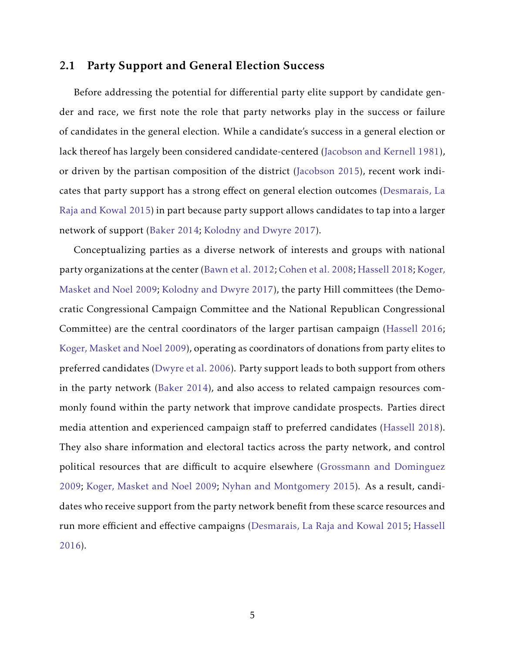## 2.1 Party Support and General Election Success

Before addressing the potential for differential party elite support by candidate gender and race, we first note the role that party networks play in the success or failure of candidates in the general election. While a candidate's success in a general election or lack thereof has largely been considered candidate-centered [\(Jacobson and Kernell](#page-28-4) [1981\)](#page-28-4), or driven by the partisan composition of the district [\(Jacobson](#page-28-5) [2015\)](#page-28-5), recent work indicates that party support has a strong effect on general election outcomes [\(Desmarais, La](#page-25-4) [Raja and Kowal](#page-25-4) [2015\)](#page-25-4) in part because party support allows candidates to tap into a larger network of support [\(Baker](#page-24-4) [2014;](#page-24-4) [Kolodny and Dwyre](#page-29-0) [2017\)](#page-29-0).

Conceptualizing parties as a diverse network of interests and groups with national party organizations at the center [\(Bawn et al.](#page-24-5) [2012;](#page-24-5) [Cohen et al.](#page-25-6) [2008;](#page-25-6) [Hassell](#page-27-0) [2018;](#page-27-0) [Koger,](#page-29-2) [Masket and Noel](#page-29-2) [2009;](#page-29-2) [Kolodny and Dwyre](#page-29-0) [2017\)](#page-29-0), the party Hill committees (the Democratic Congressional Campaign Committee and the National Republican Congressional Committee) are the central coordinators of the larger partisan campaign [\(Hassell](#page-27-3) [2016;](#page-27-3) [Koger, Masket and Noel](#page-29-2) [2009\)](#page-29-2), operating as coordinators of donations from party elites to preferred candidates [\(Dwyre et al.](#page-26-8) [2006\)](#page-26-8). Party support leads to both support from others in the party network [\(Baker](#page-24-4) [2014\)](#page-24-4), and also access to related campaign resources commonly found within the party network that improve candidate prospects. Parties direct media attention and experienced campaign staff to preferred candidates [\(Hassell](#page-27-0) [2018\)](#page-27-0). They also share information and electoral tactics across the party network, and control political resources that are difficult to acquire elsewhere [\(Grossmann and Dominguez](#page-27-4) [2009;](#page-27-4) [Koger, Masket and Noel](#page-29-2) [2009;](#page-29-2) [Nyhan and Montgomery](#page-30-6) [2015\)](#page-30-6). As a result, candidates who receive support from the party network benefit from these scarce resources and run more efficient and effective campaigns [\(Desmarais, La Raja and Kowal](#page-25-4) [2015;](#page-25-4) [Hassell](#page-27-3) [2016\)](#page-27-3).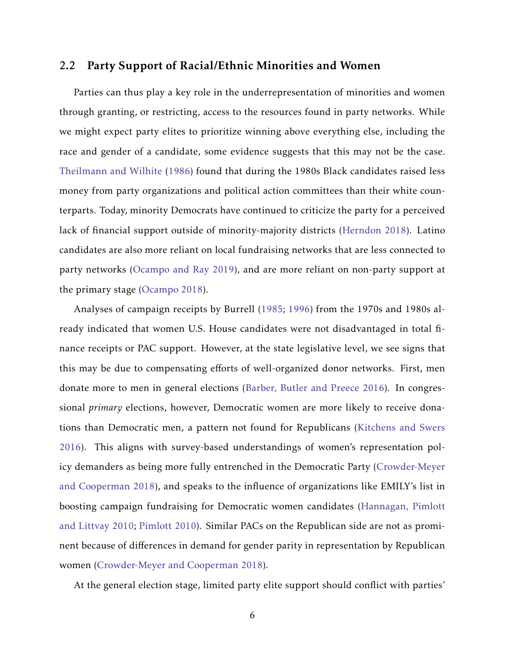## 2.2 Party Support of Racial/Ethnic Minorities and Women

Parties can thus play a key role in the underrepresentation of minorities and women through granting, or restricting, access to the resources found in party networks. While we might expect party elites to prioritize winning above everything else, including the race and gender of a candidate, some evidence suggests that this may not be the case. [Theilmann and Wilhite](#page-31-6) [\(1986\)](#page-31-6) found that during the 1980s Black candidates raised less money from party organizations and political action committees than their white counterparts. Today, minority Democrats have continued to criticize the party for a perceived lack of financial support outside of minority-majority districts [\(Herndon](#page-28-3) [2018\)](#page-28-3). Latino candidates are also more reliant on local fundraising networks that are less connected to party networks [\(Ocampo and Ray](#page-30-2) [2019\)](#page-30-2), and are more reliant on non-party support at the primary stage [\(Ocampo](#page-30-3) [2018\)](#page-30-3).

Analyses of campaign receipts by Burrell [\(1985;](#page-25-7) [1996\)](#page-25-8) from the 1970s and 1980s already indicated that women U.S. House candidates were not disadvantaged in total finance receipts or PAC support. However, at the state legislative level, we see signs that this may be due to compensating efforts of well-organized donor networks. First, men donate more to men in general elections [\(Barber, Butler and Preece](#page-24-6) [2016\)](#page-24-6). In congressional *primary* elections, however, Democratic women are more likely to receive donations than Democratic men, a pattern not found for Republicans [\(Kitchens and Swers](#page-29-3) [2016\)](#page-29-3). This aligns with survey-based understandings of women's representation policy demanders as being more fully entrenched in the Democratic Party [\(Crowder-Meyer](#page-25-3) [and Cooperman](#page-25-3) [2018\)](#page-25-3), and speaks to the influence of organizations like EMILY's list in boosting campaign fundraising for Democratic women candidates [\(Hannagan, Pimlott](#page-27-5) [and Littvay](#page-27-5) [2010;](#page-27-5) [Pimlott](#page-30-7) [2010\)](#page-30-7). Similar PACs on the Republican side are not as prominent because of differences in demand for gender parity in representation by Republican women [\(Crowder-Meyer and Cooperman](#page-25-3) [2018\)](#page-25-3).

At the general election stage, limited party elite support should conflict with parties'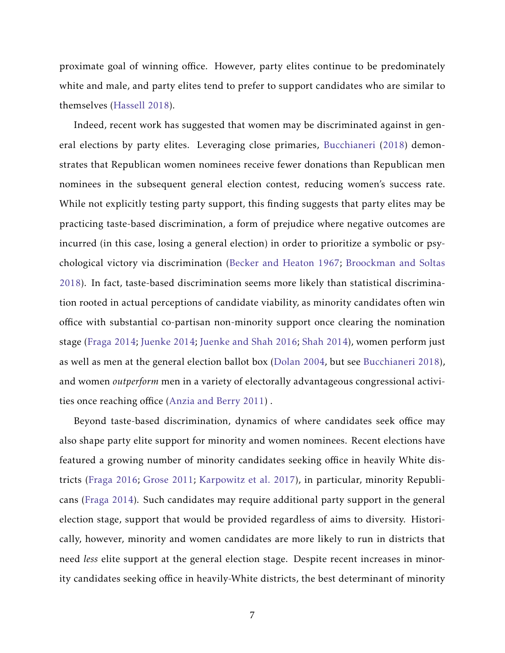proximate goal of winning office. However, party elites continue to be predominately white and male, and party elites tend to prefer to support candidates who are similar to themselves [\(Hassell](#page-27-0) [2018\)](#page-27-0).

Indeed, recent work has suggested that women may be discriminated against in general elections by party elites. Leveraging close primaries, [Bucchianeri](#page-25-9) [\(2018\)](#page-25-9) demonstrates that Republican women nominees receive fewer donations than Republican men nominees in the subsequent general election contest, reducing women's success rate. While not explicitly testing party support, this finding suggests that party elites may be practicing taste-based discrimination, a form of prejudice where negative outcomes are incurred (in this case, losing a general election) in order to prioritize a symbolic or psychological victory via discrimination [\(Becker and Heaton](#page-24-1) [1967;](#page-24-1) [Broockman and Soltas](#page-25-5) [2018\)](#page-25-5). In fact, taste-based discrimination seems more likely than statistical discrimination rooted in actual perceptions of candidate viability, as minority candidates often win office with substantial co-partisan non-minority support once clearing the nomination stage [\(Fraga](#page-27-6) [2014;](#page-27-6) [Juenke](#page-28-6) [2014;](#page-28-6) [Juenke and Shah](#page-29-4) [2016;](#page-29-4) [Shah](#page-31-7) [2014\)](#page-31-7), women perform just as well as men at the general election ballot box [\(Dolan](#page-26-0) [2004,](#page-26-0) but see [Bucchianeri](#page-25-9) [2018\)](#page-25-9), and women *outperform* men in a variety of electorally advantageous congressional activities once reaching office [\(Anzia and Berry](#page-24-7) [2011\)](#page-24-7) .

Beyond taste-based discrimination, dynamics of where candidates seek office may also shape party elite support for minority and women nominees. Recent elections have featured a growing number of minority candidates seeking office in heavily White districts [\(Fraga](#page-27-7) [2016;](#page-27-7) [Grose](#page-27-8) [2011;](#page-27-8) [Karpowitz et al.](#page-29-5) [2017\)](#page-29-5), in particular, minority Republicans [\(Fraga](#page-27-6) [2014\)](#page-27-6). Such candidates may require additional party support in the general election stage, support that would be provided regardless of aims to diversity. Historically, however, minority and women candidates are more likely to run in districts that need *less* elite support at the general election stage. Despite recent increases in minority candidates seeking office in heavily-White districts, the best determinant of minority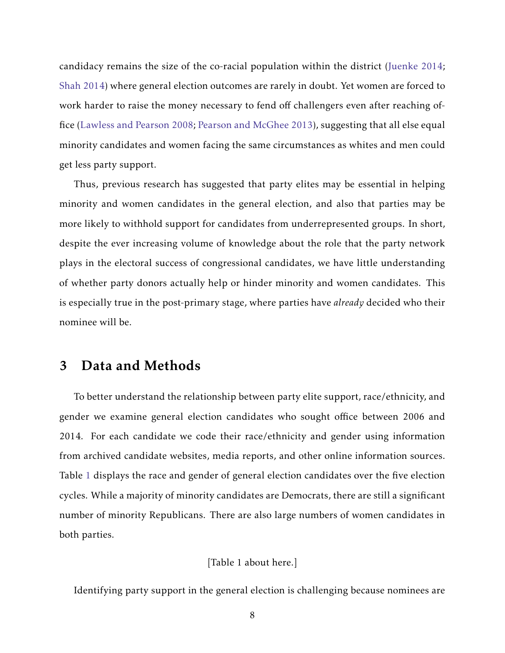candidacy remains the size of the co-racial population within the district [\(Juenke](#page-28-6) [2014;](#page-28-6) [Shah](#page-31-7) [2014\)](#page-31-7) where general election outcomes are rarely in doubt. Yet women are forced to work harder to raise the money necessary to fend off challengers even after reaching office [\(Lawless and Pearson](#page-29-6) [2008;](#page-29-6) [Pearson and McGhee](#page-30-8) [2013\)](#page-30-8), suggesting that all else equal minority candidates and women facing the same circumstances as whites and men could get less party support.

Thus, previous research has suggested that party elites may be essential in helping minority and women candidates in the general election, and also that parties may be more likely to withhold support for candidates from underrepresented groups. In short, despite the ever increasing volume of knowledge about the role that the party network plays in the electoral success of congressional candidates, we have little understanding of whether party donors actually help or hinder minority and women candidates. This is especially true in the post-primary stage, where parties have *already* decided who their nominee will be.

# 3 Data and Methods

To better understand the relationship between party elite support, race/ethnicity, and gender we examine general election candidates who sought office between 2006 and 2014. For each candidate we code their race/ethnicity and gender using information from archived candidate websites, media reports, and other online information sources. Table [1](#page-33-0) displays the race and gender of general election candidates over the five election cycles. While a majority of minority candidates are Democrats, there are still a significant number of minority Republicans. There are also large numbers of women candidates in both parties.

[Table 1 about here.]

Identifying party support in the general election is challenging because nominees are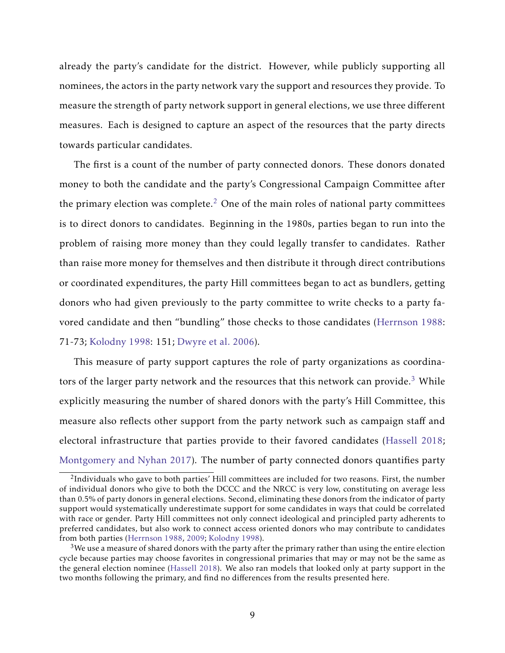already the party's candidate for the district. However, while publicly supporting all nominees, the actors in the party network vary the support and resources they provide. To measure the strength of party network support in general elections, we use three different measures. Each is designed to capture an aspect of the resources that the party directs towards particular candidates.

The first is a count of the number of party connected donors. These donors donated money to both the candidate and the party's Congressional Campaign Committee after the primary election was complete.<sup>[2](#page-9-0)</sup> One of the main roles of national party committees is to direct donors to candidates. Beginning in the 1980s, parties began to run into the problem of raising more money than they could legally transfer to candidates. Rather than raise more money for themselves and then distribute it through direct contributions or coordinated expenditures, the party Hill committees began to act as bundlers, getting donors who had given previously to the party committee to write checks to a party favored candidate and then "bundling" those checks to those candidates [\(Herrnson](#page-28-7) [1988:](#page-28-7) 71-73; [Kolodny](#page-29-7) [1998:](#page-29-7) 151; [Dwyre et al.](#page-26-8) [2006\)](#page-26-8).

This measure of party support captures the role of party organizations as coordina-tors of the larger party network and the resources that this network can provide.<sup>[3](#page-9-1)</sup> While explicitly measuring the number of shared donors with the party's Hill Committee, this measure also reflects other support from the party network such as campaign staff and electoral infrastructure that parties provide to their favored candidates [\(Hassell](#page-27-0) [2018;](#page-27-0) [Montgomery and Nyhan](#page-30-9) [2017\)](#page-30-9). The number of party connected donors quantifies party

<span id="page-9-0"></span> $^{2}$ Individuals who gave to both parties' Hill committees are included for two reasons. First, the number of individual donors who give to both the DCCC and the NRCC is very low, constituting on average less than 0.5% of party donors in general elections. Second, eliminating these donors from the indicator of party support would systematically underestimate support for some candidates in ways that could be correlated with race or gender. Party Hill committees not only connect ideological and principled party adherents to preferred candidates, but also work to connect access oriented donors who may contribute to candidates from both parties [\(Herrnson](#page-28-7) [1988,](#page-28-7) [2009;](#page-28-8) [Kolodny](#page-29-7) [1998\)](#page-29-7).

<span id="page-9-1"></span> $3$ We use a measure of shared donors with the party after the primary rather than using the entire election cycle because parties may choose favorites in congressional primaries that may or may not be the same as the general election nominee [\(Hassell](#page-27-0) [2018\)](#page-27-0). We also ran models that looked only at party support in the two months following the primary, and find no differences from the results presented here.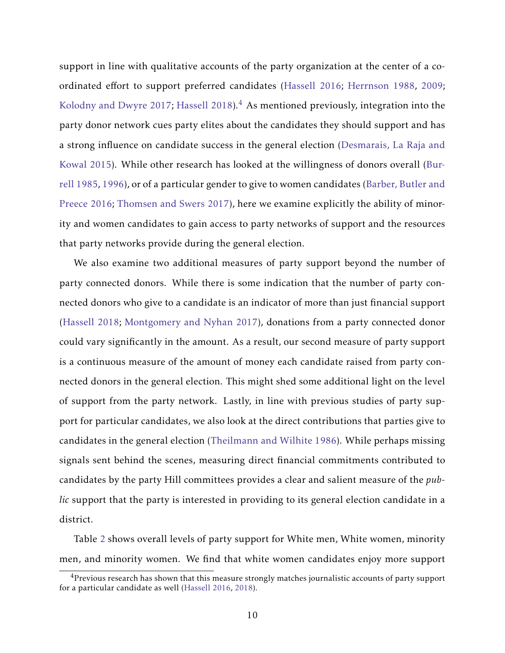support in line with qualitative accounts of the party organization at the center of a coordinated effort to support preferred candidates [\(Hassell](#page-27-3) [2016;](#page-27-3) [Herrnson](#page-28-7) [1988,](#page-28-7) [2009;](#page-28-8) [Kolodny and Dwyre](#page-29-0) [2017;](#page-29-0) [Hassell](#page-27-0) [2018\)](#page-27-0). $4$  As mentioned previously, integration into the party donor network cues party elites about the candidates they should support and has a strong influence on candidate success in the general election [\(Desmarais, La Raja and](#page-25-4) [Kowal](#page-25-4) [2015\)](#page-25-4). While other research has looked at the willingness of donors overall [\(Bur](#page-25-7)[rell](#page-25-7) [1985,](#page-25-7) [1996\)](#page-25-8), or of a particular gender to give to women candidates [\(Barber, Butler and](#page-24-6) [Preece](#page-24-6) [2016;](#page-24-6) [Thomsen and Swers](#page-31-8) [2017\)](#page-31-8), here we examine explicitly the ability of minority and women candidates to gain access to party networks of support and the resources that party networks provide during the general election.

We also examine two additional measures of party support beyond the number of party connected donors. While there is some indication that the number of party connected donors who give to a candidate is an indicator of more than just financial support [\(Hassell](#page-27-0) [2018;](#page-27-0) [Montgomery and Nyhan](#page-30-9) [2017\)](#page-30-9), donations from a party connected donor could vary significantly in the amount. As a result, our second measure of party support is a continuous measure of the amount of money each candidate raised from party connected donors in the general election. This might shed some additional light on the level of support from the party network. Lastly, in line with previous studies of party support for particular candidates, we also look at the direct contributions that parties give to candidates in the general election [\(Theilmann and Wilhite](#page-31-6) [1986\)](#page-31-6). While perhaps missing signals sent behind the scenes, measuring direct financial commitments contributed to candidates by the party Hill committees provides a clear and salient measure of the *public* support that the party is interested in providing to its general election candidate in a district.

Table [2](#page-33-1) shows overall levels of party support for White men, White women, minority men, and minority women. We find that white women candidates enjoy more support

<span id="page-10-0"></span> $4$ Previous research has shown that this measure strongly matches journalistic accounts of party support for a particular candidate as well [\(Hassell](#page-27-3) [2016,](#page-27-3) [2018\)](#page-27-0).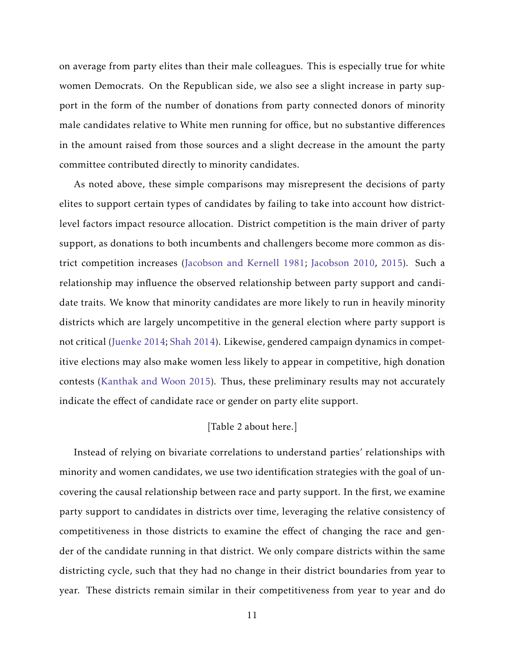on average from party elites than their male colleagues. This is especially true for white women Democrats. On the Republican side, we also see a slight increase in party support in the form of the number of donations from party connected donors of minority male candidates relative to White men running for office, but no substantive differences in the amount raised from those sources and a slight decrease in the amount the party committee contributed directly to minority candidates.

As noted above, these simple comparisons may misrepresent the decisions of party elites to support certain types of candidates by failing to take into account how districtlevel factors impact resource allocation. District competition is the main driver of party support, as donations to both incumbents and challengers become more common as district competition increases [\(Jacobson and Kernell](#page-28-4) [1981;](#page-28-4) [Jacobson](#page-28-9) [2010,](#page-28-9) [2015\)](#page-28-5). Such a relationship may influence the observed relationship between party support and candidate traits. We know that minority candidates are more likely to run in heavily minority districts which are largely uncompetitive in the general election where party support is not critical [\(Juenke](#page-28-6) [2014;](#page-28-6) [Shah](#page-31-7) [2014\)](#page-31-7). Likewise, gendered campaign dynamics in competitive elections may also make women less likely to appear in competitive, high donation contests [\(Kanthak and Woon](#page-29-8) [2015\)](#page-29-8). Thus, these preliminary results may not accurately indicate the effect of candidate race or gender on party elite support.

### [Table 2 about here.]

Instead of relying on bivariate correlations to understand parties' relationships with minority and women candidates, we use two identification strategies with the goal of uncovering the causal relationship between race and party support. In the first, we examine party support to candidates in districts over time, leveraging the relative consistency of competitiveness in those districts to examine the effect of changing the race and gender of the candidate running in that district. We only compare districts within the same districting cycle, such that they had no change in their district boundaries from year to year. These districts remain similar in their competitiveness from year to year and do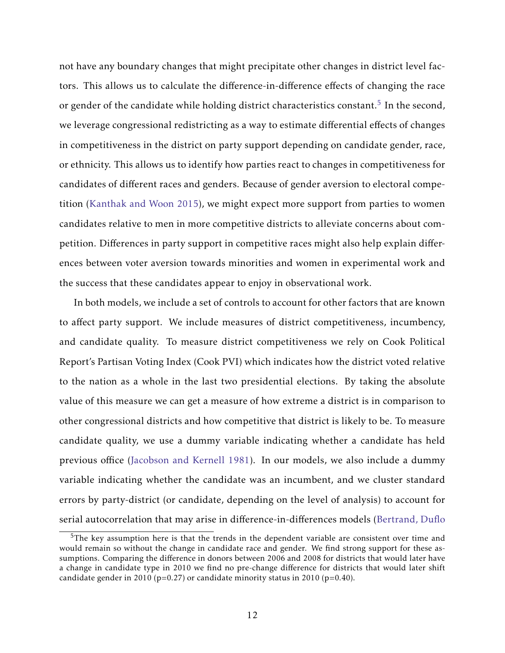not have any boundary changes that might precipitate other changes in district level factors. This allows us to calculate the difference-in-difference effects of changing the race or gender of the candidate while holding district characteristics constant. $^5$  $^5$  In the second, we leverage congressional redistricting as a way to estimate differential effects of changes in competitiveness in the district on party support depending on candidate gender, race, or ethnicity. This allows us to identify how parties react to changes in competitiveness for candidates of different races and genders. Because of gender aversion to electoral competition [\(Kanthak and Woon](#page-29-8) [2015\)](#page-29-8), we might expect more support from parties to women candidates relative to men in more competitive districts to alleviate concerns about competition. Differences in party support in competitive races might also help explain differences between voter aversion towards minorities and women in experimental work and the success that these candidates appear to enjoy in observational work.

In both models, we include a set of controls to account for other factors that are known to affect party support. We include measures of district competitiveness, incumbency, and candidate quality. To measure district competitiveness we rely on Cook Political Report's Partisan Voting Index (Cook PVI) which indicates how the district voted relative to the nation as a whole in the last two presidential elections. By taking the absolute value of this measure we can get a measure of how extreme a district is in comparison to other congressional districts and how competitive that district is likely to be. To measure candidate quality, we use a dummy variable indicating whether a candidate has held previous office [\(Jacobson and Kernell](#page-28-4) [1981\)](#page-28-4). In our models, we also include a dummy variable indicating whether the candidate was an incumbent, and we cluster standard errors by party-district (or candidate, depending on the level of analysis) to account for serial autocorrelation that may arise in difference-in-differences models [\(Bertrand, Duflo](#page-24-8)

<span id="page-12-0"></span> $5$ [The key assumption here is that the trends in the dependent variable are consistent over time and](#page-24-8) [would remain so without the change in candidate race and gender. We find strong support for these as](#page-24-8)sumptions. Comparing the diff[erence in donors between 2006 and 2008 for districts that would later have](#page-24-8) [a change in candidate type in 2010 we find no pre-change di](#page-24-8)fference for districts that would later shift candidate gender in 2010 ( $p=0.27$ ) or candidate minority status in 2010 ( $p=0.40$ ).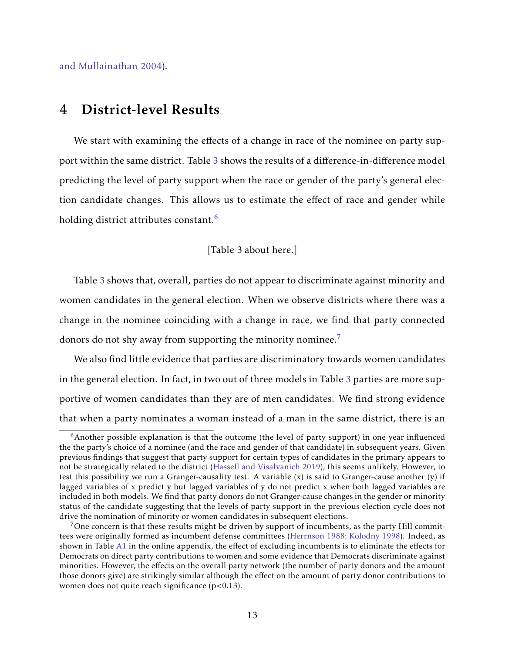[and Mullainathan](#page-24-8) [2004\)](#page-24-8).

# 4 District-level Results

We start with examining the effects of a change in race of the nominee on party support within the same district. Table [3](#page-34-0) shows the results of a difference-in-difference model predicting the level of party support when the race or gender of the party's general election candidate changes. This allows us to estimate the effect of race and gender while holding district attributes constant.<sup>[6](#page-13-0)</sup>

#### [Table 3 about here.]

Table [3](#page-34-0) shows that, overall, parties do not appear to discriminate against minority and women candidates in the general election. When we observe districts where there was a change in the nominee coinciding with a change in race, we find that party connected donors do not shy away from supporting the minority nominee.<sup>[7](#page-13-1)</sup>

We also find little evidence that parties are discriminatory towards women candidates in the general election. In fact, in two out of three models in Table [3](#page-34-0) parties are more supportive of women candidates than they are of men candidates. We find strong evidence that when a party nominates a woman instead of a man in the same district, there is an

<span id="page-13-0"></span><sup>&</sup>lt;sup>6</sup>Another possible explanation is that the outcome (the level of party support) in one year influenced the the party's choice of a nominee (and the race and gender of that candidate) in subsequent years. Given previous findings that suggest that party support for certain types of candidates in the primary appears to not be strategically related to the district [\(Hassell and Visalvanich](#page-28-2) [2019\)](#page-28-2), this seems unlikely. However, to test this possibility we run a Granger-causality test. A variable (x) is said to Granger-cause another (y) if lagged variables of x predict y but lagged variables of y do not predict x when both lagged variables are included in both models. We find that party donors do not Granger-cause changes in the gender or minority status of the candidate suggesting that the levels of party support in the previous election cycle does not drive the nomination of minority or women candidates in subsequent elections.

<span id="page-13-1"></span> $7$ One concern is that these results might be driven by support of incumbents, as the party Hill committees were originally formed as incumbent defense committees [\(Herrnson](#page-28-7) [1988;](#page-28-7) [Kolodny](#page-29-7) [1998\)](#page-29-7). Indeed, as shown in Table [A1](#page-33-0) in the online appendix, the effect of excluding incumbents is to eliminate the effects for Democrats on direct party contributions to women and some evidence that Democrats discriminate against minorities. However, the effects on the overall party network (the number of party donors and the amount those donors give) are strikingly similar although the effect on the amount of party donor contributions to women does not quite reach significance (p<0.13).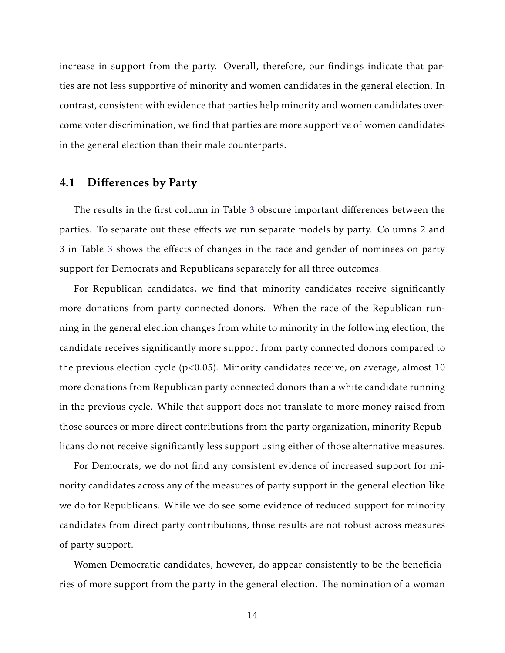increase in support from the party. Overall, therefore, our findings indicate that parties are not less supportive of minority and women candidates in the general election. In contrast, consistent with evidence that parties help minority and women candidates overcome voter discrimination, we find that parties are more supportive of women candidates in the general election than their male counterparts.

## 4.1 Differences by Party

The results in the first column in Table [3](#page-34-0) obscure important differences between the parties. To separate out these effects we run separate models by party. Columns 2 and 3 in Table [3](#page-34-0) shows the effects of changes in the race and gender of nominees on party support for Democrats and Republicans separately for all three outcomes.

For Republican candidates, we find that minority candidates receive significantly more donations from party connected donors. When the race of the Republican running in the general election changes from white to minority in the following election, the candidate receives significantly more support from party connected donors compared to the previous election cycle (p*<*0.05). Minority candidates receive, on average, almost 10 more donations from Republican party connected donors than a white candidate running in the previous cycle. While that support does not translate to more money raised from those sources or more direct contributions from the party organization, minority Republicans do not receive significantly less support using either of those alternative measures.

For Democrats, we do not find any consistent evidence of increased support for minority candidates across any of the measures of party support in the general election like we do for Republicans. While we do see some evidence of reduced support for minority candidates from direct party contributions, those results are not robust across measures of party support.

Women Democratic candidates, however, do appear consistently to be the beneficiaries of more support from the party in the general election. The nomination of a woman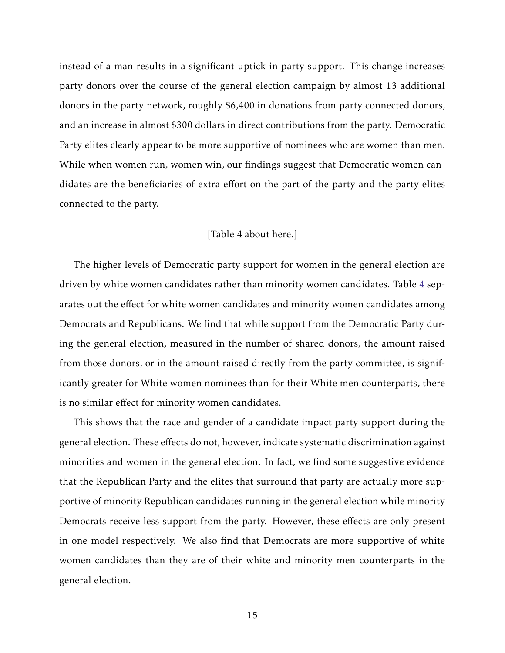instead of a man results in a significant uptick in party support. This change increases party donors over the course of the general election campaign by almost 13 additional donors in the party network, roughly \$6,400 in donations from party connected donors, and an increase in almost \$300 dollars in direct contributions from the party. Democratic Party elites clearly appear to be more supportive of nominees who are women than men. While when women run, women win, our findings suggest that Democratic women candidates are the beneficiaries of extra effort on the part of the party and the party elites connected to the party.

#### [Table 4 about here.]

The higher levels of Democratic party support for women in the general election are driven by white women candidates rather than minority women candidates. Table [4](#page-35-0) separates out the effect for white women candidates and minority women candidates among Democrats and Republicans. We find that while support from the Democratic Party during the general election, measured in the number of shared donors, the amount raised from those donors, or in the amount raised directly from the party committee, is significantly greater for White women nominees than for their White men counterparts, there is no similar effect for minority women candidates.

This shows that the race and gender of a candidate impact party support during the general election. These effects do not, however, indicate systematic discrimination against minorities and women in the general election. In fact, we find some suggestive evidence that the Republican Party and the elites that surround that party are actually more supportive of minority Republican candidates running in the general election while minority Democrats receive less support from the party. However, these effects are only present in one model respectively. We also find that Democrats are more supportive of white women candidates than they are of their white and minority men counterparts in the general election.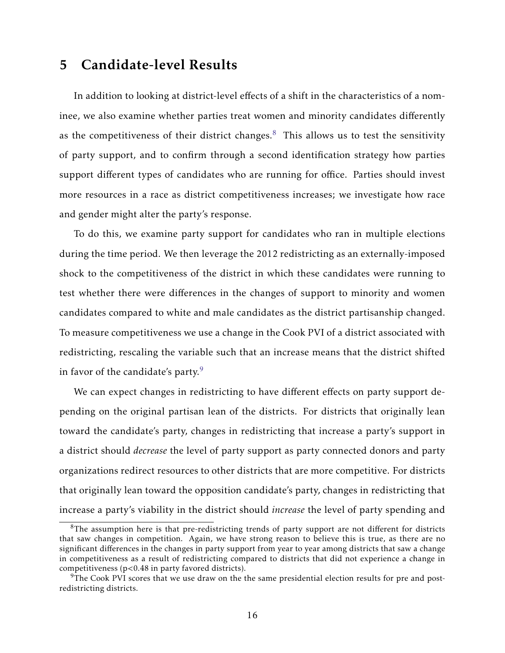# 5 Candidate-level Results

In addition to looking at district-level effects of a shift in the characteristics of a nominee, we also examine whether parties treat women and minority candidates differently as the competitiveness of their district changes.<sup>[8](#page-16-0)</sup> This allows us to test the sensitivity of party support, and to confirm through a second identification strategy how parties support different types of candidates who are running for office. Parties should invest more resources in a race as district competitiveness increases; we investigate how race and gender might alter the party's response.

To do this, we examine party support for candidates who ran in multiple elections during the time period. We then leverage the 2012 redistricting as an externally-imposed shock to the competitiveness of the district in which these candidates were running to test whether there were differences in the changes of support to minority and women candidates compared to white and male candidates as the district partisanship changed. To measure competitiveness we use a change in the Cook PVI of a district associated with redistricting, rescaling the variable such that an increase means that the district shifted in favor of the candidate's party. $9$ 

We can expect changes in redistricting to have different effects on party support depending on the original partisan lean of the districts. For districts that originally lean toward the candidate's party, changes in redistricting that increase a party's support in a district should *decrease* the level of party support as party connected donors and party organizations redirect resources to other districts that are more competitive. For districts that originally lean toward the opposition candidate's party, changes in redistricting that increase a party's viability in the district should *increase* the level of party spending and

<span id="page-16-0"></span> $8$ The assumption here is that pre-redistricting trends of party support are not different for districts that saw changes in competition. Again, we have strong reason to believe this is true, as there are no significant differences in the changes in party support from year to year among districts that saw a change in competitiveness as a result of redistricting compared to districts that did not experience a change in competitiveness (p<0.48 in party favored districts).

<span id="page-16-1"></span><sup>&</sup>lt;sup>9</sup>The Cook PVI scores that we use draw on the the same presidential election results for pre and postredistricting districts.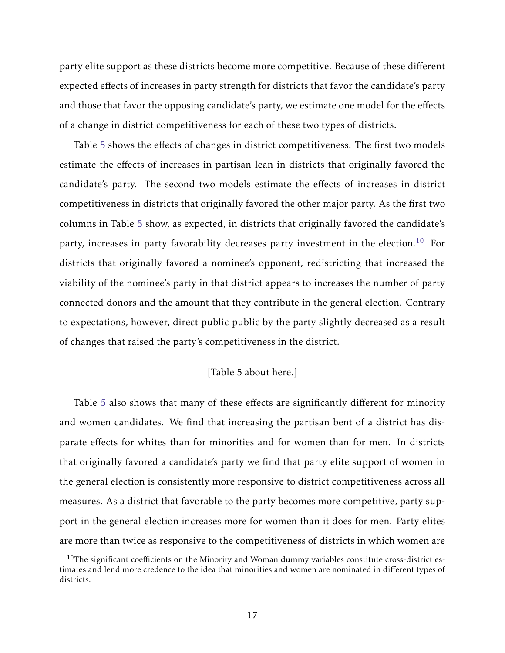party elite support as these districts become more competitive. Because of these different expected effects of increases in party strength for districts that favor the candidate's party and those that favor the opposing candidate's party, we estimate one model for the effects of a change in district competitiveness for each of these two types of districts.

Table [5](#page-36-0) shows the effects of changes in district competitiveness. The first two models estimate the effects of increases in partisan lean in districts that originally favored the candidate's party. The second two models estimate the effects of increases in district competitiveness in districts that originally favored the other major party. As the first two columns in Table [5](#page-36-0) show, as expected, in districts that originally favored the candidate's party, increases in party favorability decreases party investment in the election.<sup>[10](#page-17-0)</sup> For districts that originally favored a nominee's opponent, redistricting that increased the viability of the nominee's party in that district appears to increases the number of party connected donors and the amount that they contribute in the general election. Contrary to expectations, however, direct public public by the party slightly decreased as a result of changes that raised the party's competitiveness in the district.

### [Table 5 about here.]

Table [5](#page-36-0) also shows that many of these effects are significantly different for minority and women candidates. We find that increasing the partisan bent of a district has disparate effects for whites than for minorities and for women than for men. In districts that originally favored a candidate's party we find that party elite support of women in the general election is consistently more responsive to district competitiveness across all measures. As a district that favorable to the party becomes more competitive, party support in the general election increases more for women than it does for men. Party elites are more than twice as responsive to the competitiveness of districts in which women are

<span id="page-17-0"></span> $10$ The significant coefficients on the Minority and Woman dummy variables constitute cross-district estimates and lend more credence to the idea that minorities and women are nominated in different types of districts.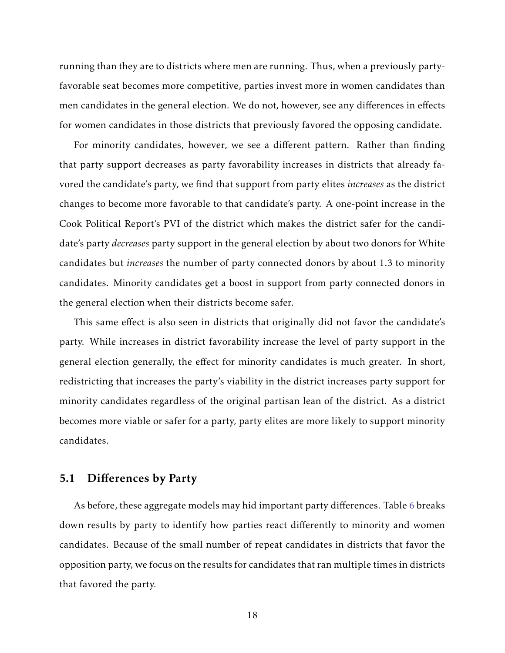running than they are to districts where men are running. Thus, when a previously partyfavorable seat becomes more competitive, parties invest more in women candidates than men candidates in the general election. We do not, however, see any differences in effects for women candidates in those districts that previously favored the opposing candidate.

For minority candidates, however, we see a different pattern. Rather than finding that party support decreases as party favorability increases in districts that already favored the candidate's party, we find that support from party elites *increases* as the district changes to become more favorable to that candidate's party. A one-point increase in the Cook Political Report's PVI of the district which makes the district safer for the candidate's party *decreases* party support in the general election by about two donors for White candidates but *increases* the number of party connected donors by about 1.3 to minority candidates. Minority candidates get a boost in support from party connected donors in the general election when their districts become safer.

This same effect is also seen in districts that originally did not favor the candidate's party. While increases in district favorability increase the level of party support in the general election generally, the effect for minority candidates is much greater. In short, redistricting that increases the party's viability in the district increases party support for minority candidates regardless of the original partisan lean of the district. As a district becomes more viable or safer for a party, party elites are more likely to support minority candidates.

## 5.1 Differences by Party

As before, these aggregate models may hid important party differences. Table [6](#page-37-0) breaks down results by party to identify how parties react differently to minority and women candidates. Because of the small number of repeat candidates in districts that favor the opposition party, we focus on the results for candidates that ran multiple times in districts that favored the party.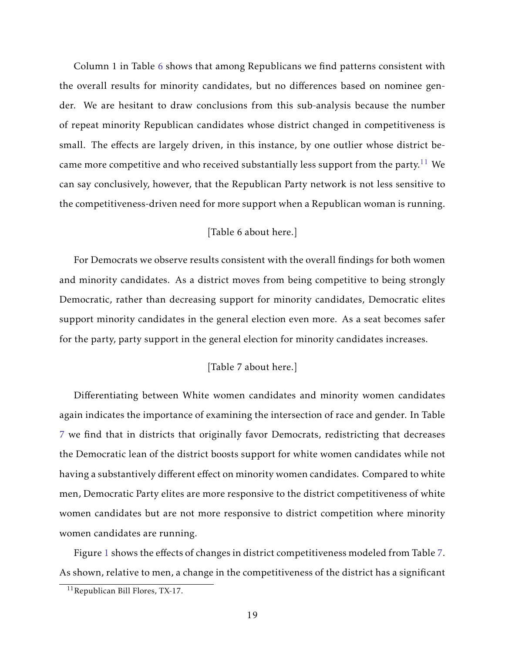Column 1 in Table [6](#page-37-0) shows that among Republicans we find patterns consistent with the overall results for minority candidates, but no differences based on nominee gender. We are hesitant to draw conclusions from this sub-analysis because the number of repeat minority Republican candidates whose district changed in competitiveness is small. The effects are largely driven, in this instance, by one outlier whose district be-came more competitive and who received substantially less support from the party.<sup>[11](#page-19-0)</sup> We can say conclusively, however, that the Republican Party network is not less sensitive to the competitiveness-driven need for more support when a Republican woman is running.

### [Table 6 about here.]

For Democrats we observe results consistent with the overall findings for both women and minority candidates. As a district moves from being competitive to being strongly Democratic, rather than decreasing support for minority candidates, Democratic elites support minority candidates in the general election even more. As a seat becomes safer for the party, party support in the general election for minority candidates increases.

## [Table 7 about here.]

Differentiating between White women candidates and minority women candidates again indicates the importance of examining the intersection of race and gender. In Table [7](#page-38-0) we find that in districts that originally favor Democrats, redistricting that decreases the Democratic lean of the district boosts support for white women candidates while not having a substantively different effect on minority women candidates. Compared to white men, Democratic Party elites are more responsive to the district competitiveness of white women candidates but are not more responsive to district competition where minority women candidates are running.

Figure [1](#page-39-0) shows the effects of changes in district competitiveness modeled from Table [7.](#page-38-0) As shown, relative to men, a change in the competitiveness of the district has a significant

<span id="page-19-0"></span><sup>11</sup>Republican Bill Flores, TX-17.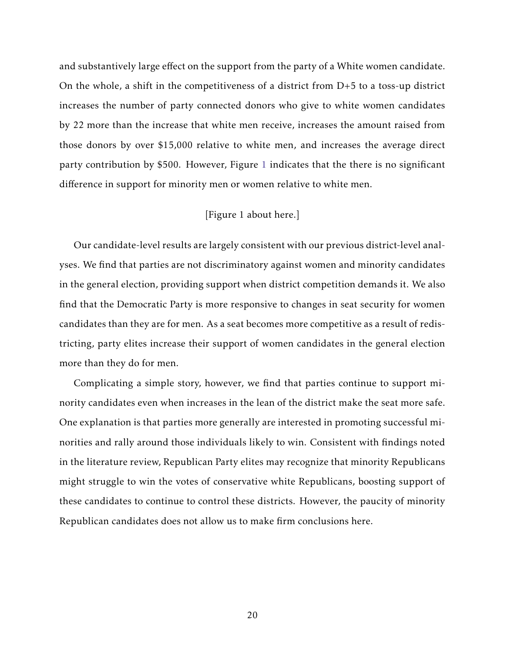and substantively large effect on the support from the party of a White women candidate. On the whole, a shift in the competitiveness of a district from D+5 to a toss-up district increases the number of party connected donors who give to white women candidates by 22 more than the increase that white men receive, increases the amount raised from those donors by over \$15,000 relative to white men, and increases the average direct party contribution by \$500. However, Figure [1](#page-39-0) indicates that the there is no significant difference in support for minority men or women relative to white men.

## [Figure 1 about here.]

Our candidate-level results are largely consistent with our previous district-level analyses. We find that parties are not discriminatory against women and minority candidates in the general election, providing support when district competition demands it. We also find that the Democratic Party is more responsive to changes in seat security for women candidates than they are for men. As a seat becomes more competitive as a result of redistricting, party elites increase their support of women candidates in the general election more than they do for men.

Complicating a simple story, however, we find that parties continue to support minority candidates even when increases in the lean of the district make the seat more safe. One explanation is that parties more generally are interested in promoting successful minorities and rally around those individuals likely to win. Consistent with findings noted in the literature review, Republican Party elites may recognize that minority Republicans might struggle to win the votes of conservative white Republicans, boosting support of these candidates to continue to control these districts. However, the paucity of minority Republican candidates does not allow us to make firm conclusions here.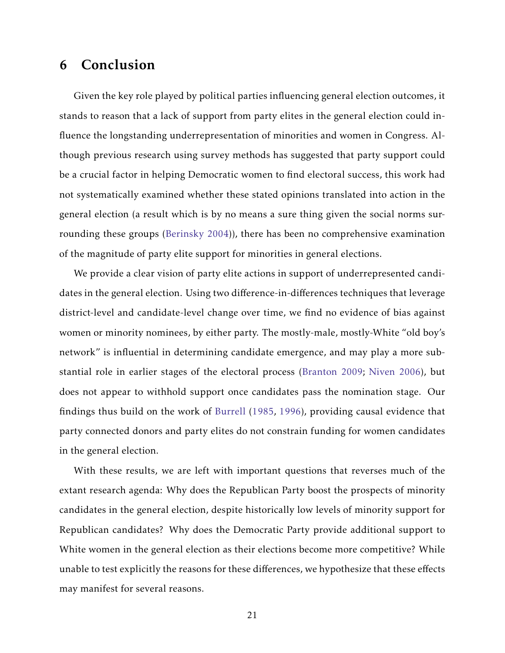# 6 Conclusion

Given the key role played by political parties influencing general election outcomes, it stands to reason that a lack of support from party elites in the general election could influence the longstanding underrepresentation of minorities and women in Congress. Although previous research using survey methods has suggested that party support could be a crucial factor in helping Democratic women to find electoral success, this work had not systematically examined whether these stated opinions translated into action in the general election (a result which is by no means a sure thing given the social norms surrounding these groups [\(Berinsky](#page-24-9) [2004\)](#page-24-9)), there has been no comprehensive examination of the magnitude of party elite support for minorities in general elections.

We provide a clear vision of party elite actions in support of underrepresented candidates in the general election. Using two difference-in-differences techniques that leverage district-level and candidate-level change over time, we find no evidence of bias against women or minority nominees, by either party. The mostly-male, mostly-White "old boy's network" is influential in determining candidate emergence, and may play a more substantial role in earlier stages of the electoral process [\(Branton](#page-24-3) [2009;](#page-24-3) [Niven](#page-30-0) [2006\)](#page-30-0), but does not appear to withhold support once candidates pass the nomination stage. Our findings thus build on the work of [Burrell](#page-25-7) [\(1985,](#page-25-7) [1996\)](#page-25-8), providing causal evidence that party connected donors and party elites do not constrain funding for women candidates in the general election.

With these results, we are left with important questions that reverses much of the extant research agenda: Why does the Republican Party boost the prospects of minority candidates in the general election, despite historically low levels of minority support for Republican candidates? Why does the Democratic Party provide additional support to White women in the general election as their elections become more competitive? While unable to test explicitly the reasons for these differences, we hypothesize that these effects may manifest for several reasons.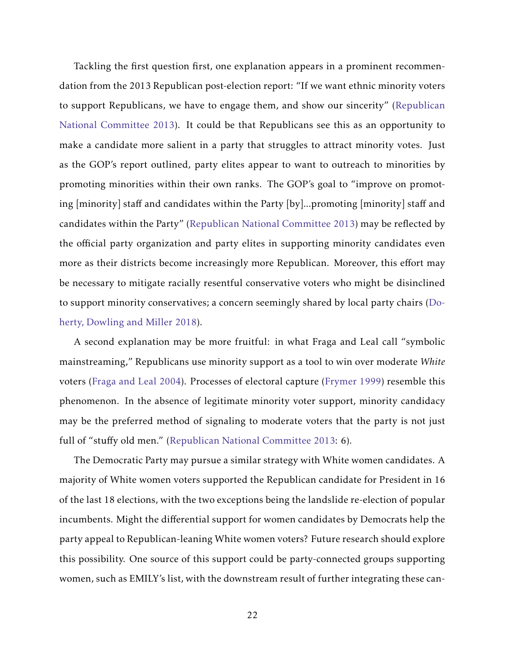Tackling the first question first, one explanation appears in a prominent recommendation from the 2013 Republican post-election report: "If we want ethnic minority voters to support Republicans, we have to engage them, and show our sincerity" [\(Republican](#page-30-4) [National Committee](#page-30-4) [2013\)](#page-30-4). It could be that Republicans see this as an opportunity to make a candidate more salient in a party that struggles to attract minority votes. Just as the GOP's report outlined, party elites appear to want to outreach to minorities by promoting minorities within their own ranks. The GOP's goal to "improve on promoting [minority] staff and candidates within the Party [by]...promoting [minority] staff and candidates within the Party" [\(Republican National Committee](#page-30-4) [2013\)](#page-30-4) may be reflected by the official party organization and party elites in supporting minority candidates even more as their districts become increasingly more Republican. Moreover, this effort may be necessary to mitigate racially resentful conservative voters who might be disinclined to support minority conservatives; a concern seemingly shared by local party chairs [\(Do](#page-26-4)[herty, Dowling and Miller](#page-26-4) [2018\)](#page-26-4).

A second explanation may be more fruitful: in what Fraga and Leal call "symbolic mainstreaming," Republicans use minority support as a tool to win over moderate *White* voters [\(Fraga and Leal](#page-27-9) [2004\)](#page-27-9). Processes of electoral capture [\(Frymer](#page-27-10) [1999\)](#page-27-10) resemble this phenomenon. In the absence of legitimate minority voter support, minority candidacy may be the preferred method of signaling to moderate voters that the party is not just full of "stuffy old men." [\(Republican National Committee](#page-30-4) [2013:](#page-30-4) 6).

The Democratic Party may pursue a similar strategy with White women candidates. A majority of White women voters supported the Republican candidate for President in 16 of the last 18 elections, with the two exceptions being the landslide re-election of popular incumbents. Might the differential support for women candidates by Democrats help the party appeal to Republican-leaning White women voters? Future research should explore this possibility. One source of this support could be party-connected groups supporting women, such as EMILY's list, with the downstream result of further integrating these can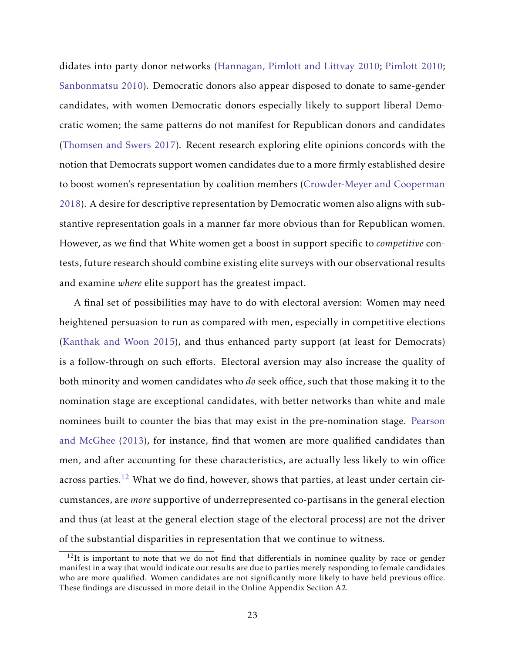didates into party donor networks [\(Hannagan, Pimlott and Littvay](#page-27-5) [2010;](#page-27-5) [Pimlott](#page-30-7) [2010;](#page-30-7) [Sanbonmatsu](#page-31-9) [2010\)](#page-31-9). Democratic donors also appear disposed to donate to same-gender candidates, with women Democratic donors especially likely to support liberal Democratic women; the same patterns do not manifest for Republican donors and candidates [\(Thomsen and Swers](#page-31-8) [2017\)](#page-31-8). Recent research exploring elite opinions concords with the notion that Democrats support women candidates due to a more firmly established desire to boost women's representation by coalition members [\(Crowder-Meyer and Cooperman](#page-25-3) [2018\)](#page-25-3). A desire for descriptive representation by Democratic women also aligns with substantive representation goals in a manner far more obvious than for Republican women. However, as we find that White women get a boost in support specific to *competitive* contests, future research should combine existing elite surveys with our observational results and examine *where* elite support has the greatest impact.

A final set of possibilities may have to do with electoral aversion: Women may need heightened persuasion to run as compared with men, especially in competitive elections [\(Kanthak and Woon](#page-29-8) [2015\)](#page-29-8), and thus enhanced party support (at least for Democrats) is a follow-through on such efforts. Electoral aversion may also increase the quality of both minority and women candidates who *do* seek office, such that those making it to the nomination stage are exceptional candidates, with better networks than white and male nominees built to counter the bias that may exist in the pre-nomination stage. [Pearson](#page-30-8) [and McGhee](#page-30-8) [\(2013\)](#page-30-8), for instance, find that women are more qualified candidates than men, and after accounting for these characteristics, are actually less likely to win office across parties.<sup>[12](#page-23-0)</sup> What we do find, however, shows that parties, at least under certain circumstances, are *more* supportive of underrepresented co-partisans in the general election and thus (at least at the general election stage of the electoral process) are not the driver of the substantial disparities in representation that we continue to witness.

<span id="page-23-0"></span> $12$ It is important to note that we do not find that differentials in nominee quality by race or gender manifest in a way that would indicate our results are due to parties merely responding to female candidates who are more qualified. Women candidates are not significantly more likely to have held previous office. These findings are discussed in more detail in the Online Appendix Section A2.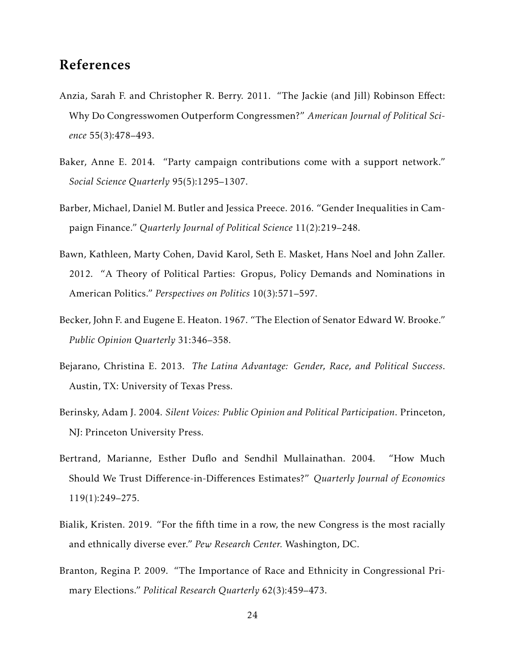# References

- <span id="page-24-7"></span>Anzia, Sarah F. and Christopher R. Berry. 2011. "The Jackie (and Jill) Robinson Effect: Why Do Congresswomen Outperform Congressmen?" *American Journal of Political Science* 55(3):478–493.
- <span id="page-24-4"></span>Baker, Anne E. 2014. "Party campaign contributions come with a support network." *Social Science Quarterly* 95(5):1295–1307.
- <span id="page-24-6"></span>Barber, Michael, Daniel M. Butler and Jessica Preece. 2016. "Gender Inequalities in Campaign Finance." *Quarterly Journal of Political Science* 11(2):219–248.
- <span id="page-24-5"></span>Bawn, Kathleen, Marty Cohen, David Karol, Seth E. Masket, Hans Noel and John Zaller. 2012. "A Theory of Political Parties: Gropus, Policy Demands and Nominations in American Politics." *Perspectives on Politics* 10(3):571–597.
- <span id="page-24-1"></span>Becker, John F. and Eugene E. Heaton. 1967. "The Election of Senator Edward W. Brooke." *Public Opinion Quarterly* 31:346–358.
- <span id="page-24-2"></span>Bejarano, Christina E. 2013. *The Latina Advantage: Gender, Race, and Political Success*. Austin, TX: University of Texas Press.
- <span id="page-24-9"></span>Berinsky, Adam J. 2004. *Silent Voices: Public Opinion and Political Participation*. Princeton, NJ: Princeton University Press.
- <span id="page-24-8"></span>Bertrand, Marianne, Esther Duflo and Sendhil Mullainathan. 2004. "How Much Should We Trust Difference-in-Differences Estimates?" *Quarterly Journal of Economics* 119(1):249–275.
- <span id="page-24-0"></span>Bialik, Kristen. 2019. "For the fifth time in a row, the new Congress is the most racially and ethnically diverse ever." *Pew Research Center.* Washington, DC.
- <span id="page-24-3"></span>Branton, Regina P. 2009. "The Importance of Race and Ethnicity in Congressional Primary Elections." *Political Research Quarterly* 62(3):459–473.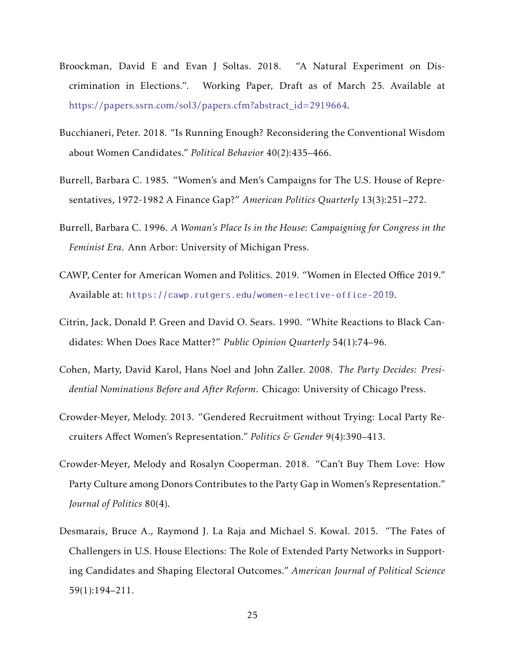- <span id="page-25-5"></span>Broockman, David E and Evan J Soltas. 2018. "A Natural Experiment on Discrimination in Elections.". Working Paper, Draft as of March 25. Available at [https://papers.ssrn.com/sol3/papers.cfm?abstract\\_id=2919664.](https://papers.ssrn.com/sol3/papers.cfm?abstract_id=2919664)
- <span id="page-25-9"></span>Bucchianeri, Peter. 2018. "Is Running Enough? Reconsidering the Conventional Wisdom about Women Candidates." *Political Behavior* 40(2):435–466.
- <span id="page-25-7"></span>Burrell, Barbara C. 1985. "Women's and Men's Campaigns for The U.S. House of Representatives, 1972-1982 A Finance Gap?" *American Politics Quarterly* 13(3):251–272.
- <span id="page-25-8"></span>Burrell, Barbara C. 1996. *A Woman's Place Is in the House: Campaigning for Congress in the Feminist Era*. Ann Arbor: University of Michigan Press.
- <span id="page-25-0"></span>CAWP, Center for American Women and Politics. 2019. "Women in Elected Office 2019." Available at: <https://cawp.rutgers.edu/women-elective-office-2019>.
- <span id="page-25-1"></span>Citrin, Jack, Donald P. Green and David O. Sears. 1990. "White Reactions to Black Candidates: When Does Race Matter?" *Public Opinion Quarterly* 54(1):74–96.
- <span id="page-25-6"></span>Cohen, Marty, David Karol, Hans Noel and John Zaller. 2008. *The Party Decides: Presidential Nominations Before and After Reform*. Chicago: University of Chicago Press.
- <span id="page-25-2"></span>Crowder-Meyer, Melody. 2013. "Gendered Recruitment without Trying: Local Party Recruiters Affect Women's Representation." *Politics & Gender* 9(4):390–413.
- <span id="page-25-3"></span>Crowder-Meyer, Melody and Rosalyn Cooperman. 2018. "Can't Buy Them Love: How Party Culture among Donors Contributes to the Party Gap in Women's Representation." *Journal of Politics* 80(4).
- <span id="page-25-4"></span>Desmarais, Bruce A., Raymond J. La Raja and Michael S. Kowal. 2015. "The Fates of Challengers in U.S. House Elections: The Role of Extended Party Networks in Supporting Candidates and Shaping Electoral Outcomes." *American Journal of Political Science* 59(1):194–211.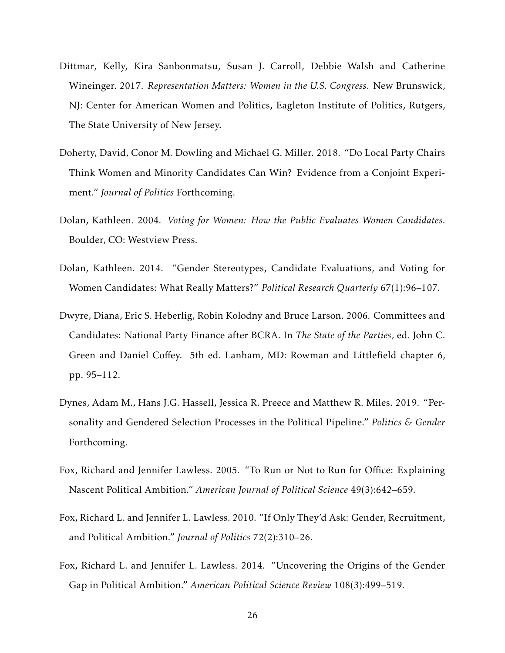- <span id="page-26-5"></span>Dittmar, Kelly, Kira Sanbonmatsu, Susan J. Carroll, Debbie Walsh and Catherine Wineinger. 2017. *Representation Matters: Women in the U.S. Congress*. New Brunswick, NJ: Center for American Women and Politics, Eagleton Institute of Politics, Rutgers, The State University of New Jersey.
- <span id="page-26-4"></span>Doherty, David, Conor M. Dowling and Michael G. Miller. 2018. "Do Local Party Chairs Think Women and Minority Candidates Can Win? Evidence from a Conjoint Experiment." *Journal of Politics* Forthcoming.
- <span id="page-26-0"></span>Dolan, Kathleen. 2004. *Voting for Women: How the Public Evaluates Women Candidates*. Boulder, CO: Westview Press.
- <span id="page-26-1"></span>Dolan, Kathleen. 2014. "Gender Stereotypes, Candidate Evaluations, and Voting for Women Candidates: What Really Matters?" *Political Research Quarterly* 67(1):96–107.
- <span id="page-26-8"></span>Dwyre, Diana, Eric S. Heberlig, Robin Kolodny and Bruce Larson. 2006. Committees and Candidates: National Party Finance after BCRA. In *The State of the Parties*, ed. John C. Green and Daniel Coffey. 5th ed. Lanham, MD: Rowman and Littlefield chapter 6, pp. 95–112.
- <span id="page-26-3"></span>Dynes, Adam M., Hans J.G. Hassell, Jessica R. Preece and Matthew R. Miles. 2019. "Personality and Gendered Selection Processes in the Political Pipeline." *Politics & Gender* Forthcoming.
- <span id="page-26-2"></span>Fox, Richard and Jennifer Lawless. 2005. "To Run or Not to Run for Office: Explaining Nascent Political Ambition." *American Journal of Political Science* 49(3):642–659.
- <span id="page-26-6"></span>Fox, Richard L. and Jennifer L. Lawless. 2010. "If Only They'd Ask: Gender, Recruitment, and Political Ambition." *Journal of Politics* 72(2):310–26.
- <span id="page-26-7"></span>Fox, Richard L. and Jennifer L. Lawless. 2014. "Uncovering the Origins of the Gender Gap in Political Ambition." *American Political Science Review* 108(3):499–519.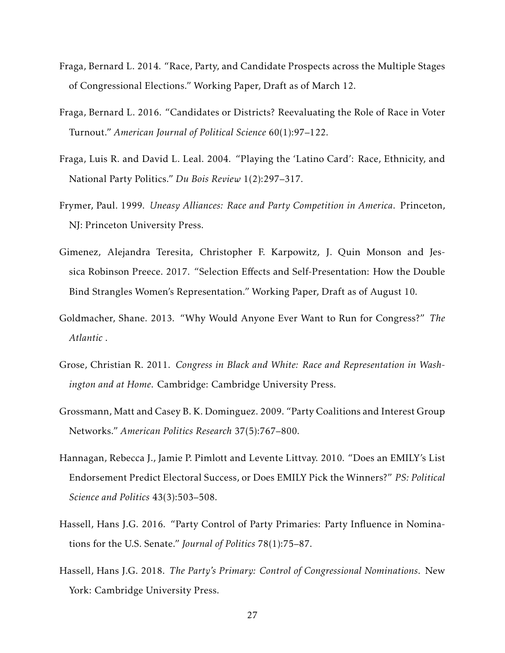- <span id="page-27-6"></span>Fraga, Bernard L. 2014. "Race, Party, and Candidate Prospects across the Multiple Stages of Congressional Elections." Working Paper, Draft as of March 12.
- <span id="page-27-7"></span>Fraga, Bernard L. 2016. "Candidates or Districts? Reevaluating the Role of Race in Voter Turnout." *American Journal of Political Science* 60(1):97–122.
- <span id="page-27-9"></span>Fraga, Luis R. and David L. Leal. 2004. "Playing the 'Latino Card': Race, Ethnicity, and National Party Politics." *Du Bois Review* 1(2):297–317.
- <span id="page-27-10"></span>Frymer, Paul. 1999. *Uneasy Alliances: Race and Party Competition in America*. Princeton, NJ: Princeton University Press.
- <span id="page-27-1"></span>Gimenez, Alejandra Teresita, Christopher F. Karpowitz, J. Quin Monson and Jessica Robinson Preece. 2017. "Selection Effects and Self-Presentation: How the Double Bind Strangles Women's Representation." Working Paper, Draft as of August 10.
- <span id="page-27-2"></span>Goldmacher, Shane. 2013. "Why Would Anyone Ever Want to Run for Congress?" *The Atlantic* .
- <span id="page-27-8"></span>Grose, Christian R. 2011. *Congress in Black and White: Race and Representation in Washington and at Home*. Cambridge: Cambridge University Press.
- <span id="page-27-4"></span>Grossmann, Matt and Casey B. K. Dominguez. 2009. "Party Coalitions and Interest Group Networks." *American Politics Research* 37(5):767–800.
- <span id="page-27-5"></span>Hannagan, Rebecca J., Jamie P. Pimlott and Levente Littvay. 2010. "Does an EMILY's List Endorsement Predict Electoral Success, or Does EMILY Pick the Winners?" *PS: Political Science and Politics* 43(3):503–508.
- <span id="page-27-3"></span>Hassell, Hans J.G. 2016. "Party Control of Party Primaries: Party Influence in Nominations for the U.S. Senate." *Journal of Politics* 78(1):75–87.
- <span id="page-27-0"></span>Hassell, Hans J.G. 2018. *The Party's Primary: Control of Congressional Nominations*. New York: Cambridge University Press.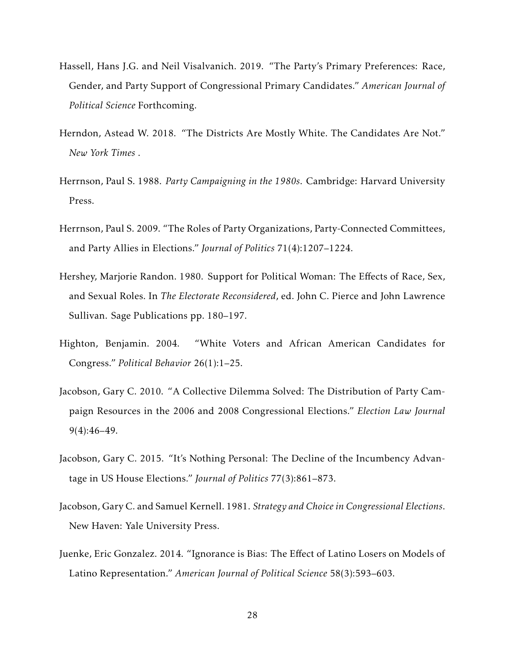- <span id="page-28-2"></span>Hassell, Hans J.G. and Neil Visalvanich. 2019. "The Party's Primary Preferences: Race, Gender, and Party Support of Congressional Primary Candidates." *American Journal of Political Science* Forthcoming.
- <span id="page-28-3"></span>Herndon, Astead W. 2018. "The Districts Are Mostly White. The Candidates Are Not." *New York Times* .
- <span id="page-28-7"></span>Herrnson, Paul S. 1988. *Party Campaigning in the 1980s*. Cambridge: Harvard University Press.
- <span id="page-28-8"></span>Herrnson, Paul S. 2009. "The Roles of Party Organizations, Party-Connected Committees, and Party Allies in Elections." *Journal of Politics* 71(4):1207–1224.
- <span id="page-28-0"></span>Hershey, Marjorie Randon. 1980. Support for Political Woman: The Effects of Race, Sex, and Sexual Roles. In *The Electorate Reconsidered*, ed. John C. Pierce and John Lawrence Sullivan. Sage Publications pp. 180–197.
- <span id="page-28-1"></span>Highton, Benjamin. 2004. "White Voters and African American Candidates for Congress." *Political Behavior* 26(1):1–25.
- <span id="page-28-9"></span>Jacobson, Gary C. 2010. "A Collective Dilemma Solved: The Distribution of Party Campaign Resources in the 2006 and 2008 Congressional Elections." *Election Law Journal* 9(4):46–49.
- <span id="page-28-5"></span>Jacobson, Gary C. 2015. "It's Nothing Personal: The Decline of the Incumbency Advantage in US House Elections." *Journal of Politics* 77(3):861–873.
- <span id="page-28-4"></span>Jacobson, Gary C. and Samuel Kernell. 1981. *Strategy and Choice in Congressional Elections*. New Haven: Yale University Press.
- <span id="page-28-6"></span>Juenke, Eric Gonzalez. 2014. "Ignorance is Bias: The Effect of Latino Losers on Models of Latino Representation." *American Journal of Political Science* 58(3):593–603.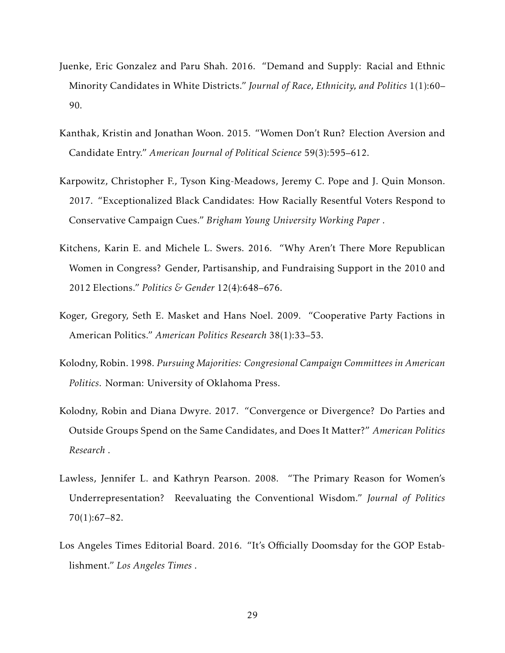- <span id="page-29-4"></span>Juenke, Eric Gonzalez and Paru Shah. 2016. "Demand and Supply: Racial and Ethnic Minority Candidates in White Districts." *Journal of Race, Ethnicity, and Politics* 1(1):60– 90.
- <span id="page-29-8"></span>Kanthak, Kristin and Jonathan Woon. 2015. "Women Don't Run? Election Aversion and Candidate Entry." *American Journal of Political Science* 59(3):595–612.
- <span id="page-29-5"></span>Karpowitz, Christopher F., Tyson King-Meadows, Jeremy C. Pope and J. Quin Monson. 2017. "Exceptionalized Black Candidates: How Racially Resentful Voters Respond to Conservative Campaign Cues." *Brigham Young University Working Paper* .
- <span id="page-29-3"></span>Kitchens, Karin E. and Michele L. Swers. 2016. "Why Aren't There More Republican Women in Congress? Gender, Partisanship, and Fundraising Support in the 2010 and 2012 Elections." *Politics & Gender* 12(4):648–676.
- <span id="page-29-2"></span>Koger, Gregory, Seth E. Masket and Hans Noel. 2009. "Cooperative Party Factions in American Politics." *American Politics Research* 38(1):33–53.
- <span id="page-29-7"></span>Kolodny, Robin. 1998. *Pursuing Majorities: Congresional Campaign Committees in American Politics*. Norman: University of Oklahoma Press.
- <span id="page-29-0"></span>Kolodny, Robin and Diana Dwyre. 2017. "Convergence or Divergence? Do Parties and Outside Groups Spend on the Same Candidates, and Does It Matter?" *American Politics Research* .
- <span id="page-29-6"></span>Lawless, Jennifer L. and Kathryn Pearson. 2008. "The Primary Reason for Women's Underrepresentation? Reevaluating the Conventional Wisdom." *Journal of Politics* 70(1):67–82.
- <span id="page-29-1"></span>Los Angeles Times Editorial Board. 2016. "It's Officially Doomsday for the GOP Establishment." *Los Angeles Times* .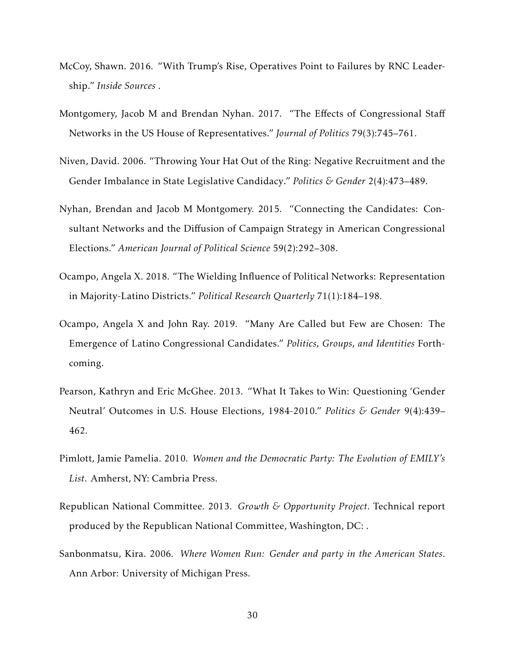- <span id="page-30-5"></span>McCoy, Shawn. 2016. "With Trump's Rise, Operatives Point to Failures by RNC Leadership." *Inside Sources* .
- <span id="page-30-9"></span>Montgomery, Jacob M and Brendan Nyhan. 2017. "The Effects of Congressional Staff Networks in the US House of Representatives." *Journal of Politics* 79(3):745–761.
- <span id="page-30-0"></span>Niven, David. 2006. "Throwing Your Hat Out of the Ring: Negative Recruitment and the Gender Imbalance in State Legislative Candidacy." *Politics & Gender* 2(4):473–489.
- <span id="page-30-6"></span>Nyhan, Brendan and Jacob M Montgomery. 2015. "Connecting the Candidates: Consultant Networks and the Diffusion of Campaign Strategy in American Congressional Elections." *American Journal of Political Science* 59(2):292–308.
- <span id="page-30-3"></span>Ocampo, Angela X. 2018. "The Wielding Influence of Political Networks: Representation in Majority-Latino Districts." *Political Research Quarterly* 71(1):184–198.
- <span id="page-30-2"></span>Ocampo, Angela X and John Ray. 2019. "Many Are Called but Few are Chosen: The Emergence of Latino Congressional Candidates." *Politics, Groups, and Identities* Forthcoming.
- <span id="page-30-8"></span>Pearson, Kathryn and Eric McGhee. 2013. "What It Takes to Win: Questioning 'Gender Neutral' Outcomes in U.S. House Elections, 1984-2010." *Politics & Gender* 9(4):439– 462.
- <span id="page-30-7"></span>Pimlott, Jamie Pamelia. 2010. *Women and the Democratic Party: The Evolution of EMILY's List*. Amherst, NY: Cambria Press.
- <span id="page-30-4"></span>Republican National Committee. 2013. *Growth & Opportunity Project*. Technical report produced by the Republican National Committee, Washington, DC: .
- <span id="page-30-1"></span>Sanbonmatsu, Kira. 2006. *Where Women Run: Gender and party in the American States*. Ann Arbor: University of Michigan Press.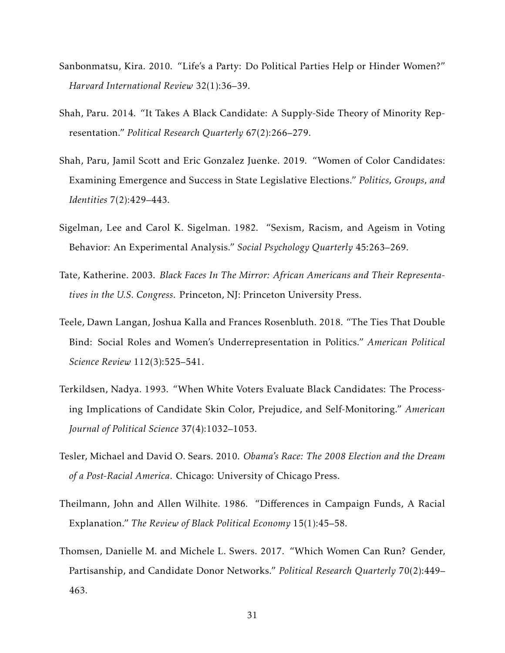- <span id="page-31-9"></span>Sanbonmatsu, Kira. 2010. "Life's a Party: Do Political Parties Help or Hinder Women?" *Harvard International Review* 32(1):36–39.
- <span id="page-31-7"></span>Shah, Paru. 2014. "It Takes A Black Candidate: A Supply-Side Theory of Minority Representation." *Political Research Quarterly* 67(2):266–279.
- <span id="page-31-4"></span>Shah, Paru, Jamil Scott and Eric Gonzalez Juenke. 2019. "Women of Color Candidates: Examining Emergence and Success in State Legislative Elections." *Politics, Groups, and Identities* 7(2):429–443.
- <span id="page-31-0"></span>Sigelman, Lee and Carol K. Sigelman. 1982. "Sexism, Racism, and Ageism in Voting Behavior: An Experimental Analysis." *Social Psychology Quarterly* 45:263–269.
- <span id="page-31-2"></span>Tate, Katherine. 2003. *Black Faces In The Mirror: African Americans and Their Representatives in the U.S. Congress*. Princeton, NJ: Princeton University Press.
- <span id="page-31-5"></span>Teele, Dawn Langan, Joshua Kalla and Frances Rosenbluth. 2018. "The Ties That Double Bind: Social Roles and Women's Underrepresentation in Politics." *American Political Science Review* 112(3):525–541.
- <span id="page-31-1"></span>Terkildsen, Nadya. 1993. "When White Voters Evaluate Black Candidates: The Processing Implications of Candidate Skin Color, Prejudice, and Self-Monitoring." *American Journal of Political Science* 37(4):1032–1053.
- <span id="page-31-3"></span>Tesler, Michael and David O. Sears. 2010. *Obama's Race: The 2008 Election and the Dream of a Post-Racial America*. Chicago: University of Chicago Press.
- <span id="page-31-6"></span>Theilmann, John and Allen Wilhite. 1986. "Differences in Campaign Funds, A Racial Explanation." *The Review of Black Political Economy* 15(1):45–58.
- <span id="page-31-8"></span>Thomsen, Danielle M. and Michele L. Swers. 2017. "Which Women Can Run? Gender, Partisanship, and Candidate Donor Networks." *Political Research Quarterly* 70(2):449– 463.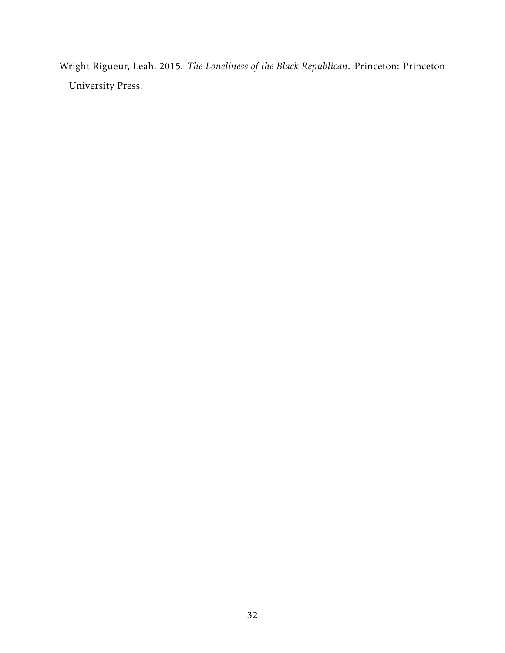<span id="page-32-0"></span>Wright Rigueur, Leah. 2015. *The Loneliness of the Black Republican*. Princeton: Princeton University Press.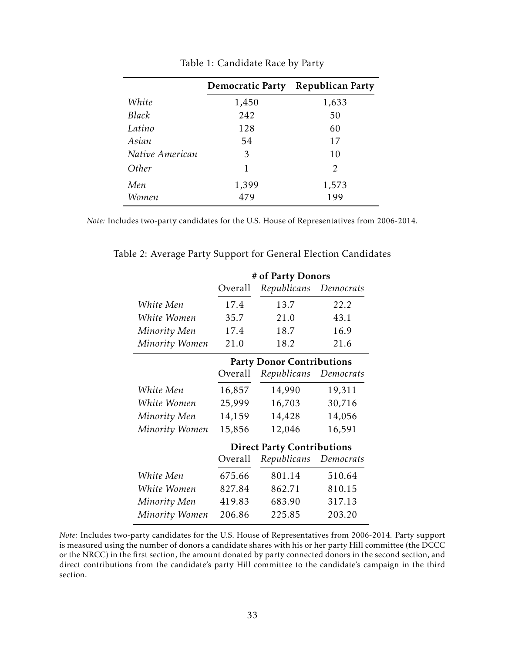|                 | <b>Democratic Party</b> | <b>Republican Party</b> |
|-----------------|-------------------------|-------------------------|
| White           | 1,450                   | 1,633                   |
| Black           | 242                     | 50                      |
| Latino          | 128                     | 60                      |
| Asian           | 54                      | 17                      |
| Native American | 3                       | 10                      |
| Other           | 1                       | 2                       |
| Men             | 1,399                   | 1,573                   |
| Women           | 479                     | 199                     |

<span id="page-33-0"></span>Table 1: Candidate Race by Party

*Note:* Includes two-party candidates for the U.S. House of Representatives from 2006-2014.

<span id="page-33-1"></span>

|                | # of Party Donors |                                   |           |  |
|----------------|-------------------|-----------------------------------|-----------|--|
|                | Overall           | Republicans                       | Democrats |  |
| White Men      | 17.4              | 13.7                              | 22.2      |  |
| White Women    | 35.7              | 21.0                              | 43.1      |  |
| Minority Men   | 17.4              | 18.7                              | 16.9      |  |
| Minority Women | 21.0              | 18.2                              | 21.6      |  |
|                |                   | <b>Party Donor Contributions</b>  |           |  |
|                | Overall           | Republicans                       | Democrats |  |
| White Men      | 16,857            | 14,990                            | 19,311    |  |
| White Women    | 25,999            | 16,703                            | 30,716    |  |
| Minority Men   | 14,159            | 14,428                            | 14,056    |  |
| Minority Women | 15,856            | 12,046                            | 16,591    |  |
|                |                   | <b>Direct Party Contributions</b> |           |  |
|                | Overall           | Republicans                       | Democrats |  |
| White Men      | 675.66            | 801.14                            | 510.64    |  |
| White Women    | 827.84            | 862.71                            | 810.15    |  |
| Minority Men   | 419.83            | 683.90                            | 317.13    |  |
| Minority Women | 206.86            | 225.85                            | 203.20    |  |

Table 2: Average Party Support for General Election Candidates

*Note:* Includes two-party candidates for the U.S. House of Representatives from 2006-2014. Party support is measured using the number of donors a candidate shares with his or her party Hill committee (the DCCC or the NRCC) in the first section, the amount donated by party connected donors in the second section, and direct contributions from the candidate's party Hill committee to the candidate's campaign in the third section.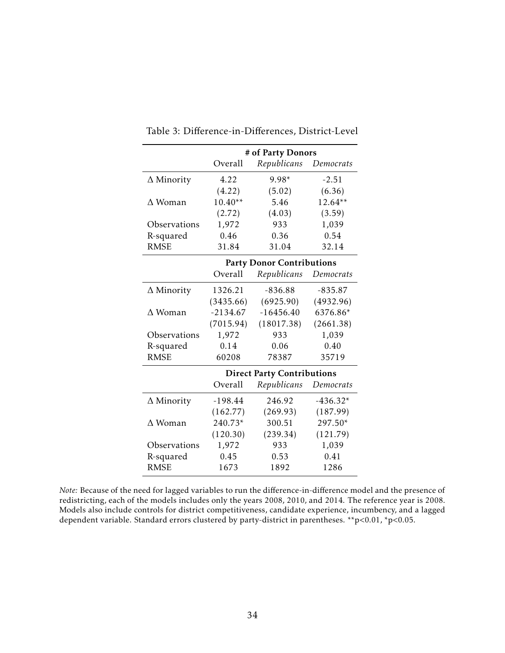|                   | # of Party Donors |                                   |            |  |
|-------------------|-------------------|-----------------------------------|------------|--|
|                   | Overall           | Republicans                       | Democrats  |  |
| $\Delta$ Minority | 4.22              | $9.98*$                           | $-2.51$    |  |
|                   | (4.22)            | (5.02)                            | (6.36)     |  |
| $\Delta$ Woman    | $10.40**$         | 5.46                              | $12.64**$  |  |
|                   | (2.72)            | (4.03)                            | (3.59)     |  |
| Observations      | 1,972             | 933                               | 1,039      |  |
| R-squared         | 0.46              | 0.36                              | 0.54       |  |
| <b>RMSE</b>       | 31.84             | 31.04                             | 32.14      |  |
|                   |                   | <b>Party Donor Contributions</b>  |            |  |
|                   | Overall           | Republicans                       | Democrats  |  |
| $\Delta$ Minority | 1326.21           | $-836.88$                         | $-835.87$  |  |
|                   | (3435.66)         | (6925.90)                         | (4932.96)  |  |
| $\Delta$ Woman    | $-2134.67$        | $-16456.40$                       | 6376.86*   |  |
|                   | (7015.94)         | (18017.38)                        | (2661.38)  |  |
| Observations      | 1,972             | 933                               | 1,039      |  |
| R-squared         | 0.14              | 0.06                              | 0.40       |  |
| <b>RMSE</b>       | 60208             | 78387                             | 35719      |  |
|                   |                   | <b>Direct Party Contributions</b> |            |  |
|                   | Overall           | Republicans                       | Democrats  |  |
| $\Delta$ Minority | $-198.44$         | 246.92                            | $-436.32*$ |  |
|                   | (162.77)          | (269.93)                          | (187.99)   |  |
| $\Delta$ Woman    | 240.73*           | 300.51                            | 297.50*    |  |
|                   | (120.30)          | (239.34)                          | (121.79)   |  |
| Observations      | 1,972             | 933                               | 1,039      |  |
| R-squared         | 0.45              | 0.53                              | 0.41       |  |
| <b>RMSE</b>       | 1673              | 1892                              | 1286       |  |

## <span id="page-34-0"></span>Table 3: Difference-in-Differences, District-Level

*Note:* Because of the need for lagged variables to run the difference-in-difference model and the presence of redistricting, each of the models includes only the years 2008, 2010, and 2014. The reference year is 2008. Models also include controls for district competitiveness, candidate experience, incumbency, and a lagged dependent variable. Standard errors clustered by party-district in parentheses. \*\*p*<*0.01, \*p*<*0.05.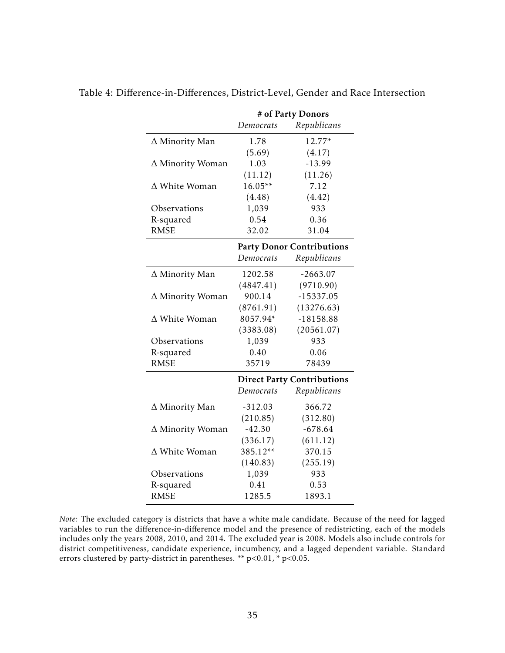<span id="page-35-0"></span>

|                         | # of Party Donors |                                   |  |
|-------------------------|-------------------|-----------------------------------|--|
|                         | Democrats         | Republicans                       |  |
| ∆ Minority Man          | 1.78              | 12.77*                            |  |
|                         | (5.69)            | (4.17)                            |  |
| $\Delta$ Minority Woman | 1.03              | $-13.99$                          |  |
|                         | (11.12)           | (11.26)                           |  |
| $\Delta$ White Woman    | $16.05**$         | 7.12                              |  |
|                         | (4.48)            | (4.42)                            |  |
| Observations            | 1,039             | 933                               |  |
| R-squared               | 0.54              | 0.36                              |  |
| <b>RMSE</b>             | 32.02             | 31.04                             |  |
|                         |                   | <b>Party Donor Contributions</b>  |  |
|                         | Democrats         | Republicans                       |  |
| ∆ Minority Man          | 1202.58           | $-2663.07$                        |  |
|                         | (4847.41)         | (9710.90)                         |  |
| ∆ Minority Woman        | 900.14            | $-15337.05$                       |  |
|                         | (8761.91)         | (13276.63)                        |  |
| $\Delta$ White Woman    | 8057.94*          | $-18158.88$                       |  |
|                         | (3383.08)         | (20561.07)                        |  |
| Observations            | 1,039             | 933                               |  |
| R-squared               | 0.40              | 0.06                              |  |
| <b>RMSE</b>             | 35719             | 78439                             |  |
|                         |                   | <b>Direct Party Contributions</b> |  |
|                         | Democrats         | Republicans                       |  |
| ∆ Minority Man          | $-312.03$         | 366.72                            |  |
|                         | (210.85)          | (312.80)                          |  |
| ∆ Minority Woman        | $-42.30$          | $-678.64$                         |  |
|                         | (336.17)          | (611.12)                          |  |
| $\Delta$ White Woman    | 385.12**          | 370.15                            |  |
|                         | (140.83)          | (255.19)                          |  |
| Observations            | 1,039             | 933                               |  |
| R-squared               | 0.41              | 0.53                              |  |
| <b>RMSE</b>             | 1285.5            | 1893.1                            |  |

Table 4: Difference-in-Differences, District-Level, Gender and Race Intersection

*Note:* The excluded category is districts that have a white male candidate. Because of the need for lagged variables to run the difference-in-difference model and the presence of redistricting, each of the models includes only the years 2008, 2010, and 2014. The excluded year is 2008. Models also include controls for district competitiveness, candidate experience, incumbency, and a lagged dependent variable. Standard errors clustered by party-district in parentheses. \*\* p*<*0.01, \* p*<*0.05.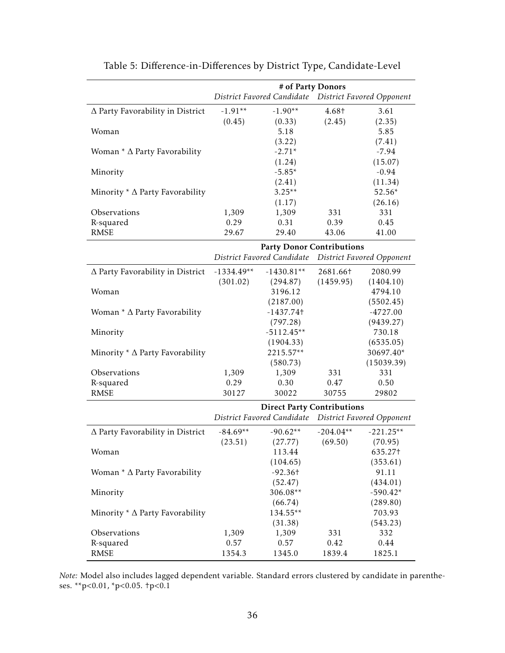|                                          | # of Party Donors |                                                       |             |                                  |
|------------------------------------------|-------------------|-------------------------------------------------------|-------------|----------------------------------|
|                                          |                   | District Favored Candidate  District Favored Opponent |             |                                  |
| $\Delta$ Party Favorability in District  | $-1.91**$         | $-1.90**$                                             | 4.68†       | 3.61                             |
|                                          | (0.45)            | (0.33)                                                | (2.45)      | (2.35)                           |
| Woman                                    |                   | 5.18                                                  |             | 5.85                             |
|                                          |                   | (3.22)                                                |             | (7.41)                           |
| Woman $*$ $\Delta$ Party Favorability    |                   | $-2.71*$                                              |             | $-7.94$                          |
|                                          |                   | (1.24)                                                |             | (15.07)                          |
| Minority                                 |                   | $-5.85*$                                              |             | $-0.94$                          |
|                                          |                   | (2.41)                                                |             | (11.34)                          |
| Minority $*$ $\Delta$ Party Favorability |                   | $3.25**$                                              |             | 52.56*                           |
|                                          |                   | (1.17)                                                |             | (26.16)                          |
| Observations                             | 1,309             | 1,309                                                 | 331         | 331                              |
| R-squared                                | 0.29              | 0.31                                                  | 0.39        | 0.45                             |
| <b>RMSE</b>                              | 29.67             | 29.40                                                 | 43.06       | 41.00                            |
|                                          |                   | <b>Party Donor Contributions</b>                      |             |                                  |
|                                          |                   | District Favored Candidate                            |             | District Favored Opponent        |
| ∆ Party Favorability in District         | $-1334.49**$      | $-1430.81**$                                          | 2681.66†    | 2080.99                          |
|                                          | (301.02)          | (294.87)                                              | (1459.95)   | (1404.10)                        |
| Woman                                    |                   | 3196.12                                               |             | 4794.10                          |
|                                          |                   | (2187.00)                                             |             | (5502.45)                        |
| Woman $*$ $\Delta$ Party Favorability    |                   | $-1437.74$ t                                          |             | $-4727.00$                       |
|                                          |                   | (797.28)                                              |             | (9439.27)                        |
| Minority                                 |                   | $-5112.45**$                                          |             | 730.18                           |
|                                          |                   | (1904.33)                                             |             | (6535.05)                        |
| Minority $*$ $\Delta$ Party Favorability |                   | 2215.57**                                             |             | 30697.40*                        |
|                                          |                   | (580.73)                                              |             | (15039.39)                       |
| Observations                             | 1,309             | 1,309                                                 | 331         | 331                              |
| R-squared                                | 0.29              | 0.30                                                  | 0.47        | 0.50                             |
| <b>RMSE</b>                              | 30127             | 30022                                                 | 30755       | 29802                            |
|                                          |                   | <b>Direct Party Contributions</b>                     |             |                                  |
|                                          |                   | District Favored Candidate                            |             | <b>District Favored Opponent</b> |
| ∆ Party Favorability in District         | $-84.69**$        | $-90.62**$                                            | $-204.04**$ | $-221.25**$                      |
|                                          | (23.51)           | (27.77)                                               | (69.50)     | (70.95)                          |
| Woman                                    |                   | 113.44                                                |             | 635.27†                          |
|                                          |                   | (104.65)                                              |             | (353.61)                         |
| Woman * $\Delta$ Party Favorability      |                   | $-92.36$ t                                            |             | 91.11                            |
|                                          |                   | (52.47)                                               |             | (434.01)                         |
| Minority                                 |                   | 306.08**                                              |             | $-590.42*$                       |
|                                          |                   | (66.74)                                               |             | (289.80)                         |
| Minority $*$ $\Delta$ Party Favorability |                   | 134.55**                                              |             | 703.93                           |
|                                          |                   | (31.38)                                               |             | (543.23)                         |
| Observations                             | 1,309             | 1,309                                                 | 331         | 332                              |
| R-squared                                | 0.57              | 0.57                                                  | 0.42        | 0.44                             |
| <b>RMSE</b>                              | 1354.3            | 1345.0                                                | 1839.4      | 1825.1                           |

<span id="page-36-0"></span>

| Table 5: Difference-in-Differences by District Type, Candidate-Level |  |  |
|----------------------------------------------------------------------|--|--|
|----------------------------------------------------------------------|--|--|

*Note:* Model also includes lagged dependent variable. Standard errors clustered by candidate in parentheses. \*\*p*<*0.01, \*p*<*0.05. †p*<*0.1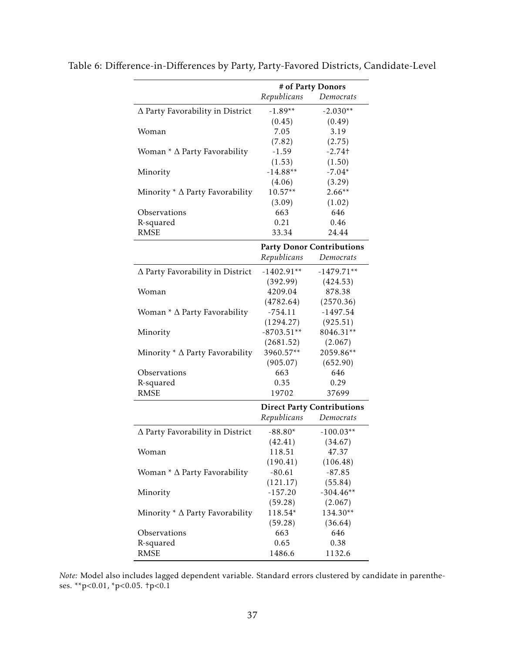<span id="page-37-0"></span>

|                                          | # of Party Donors |                                   |
|------------------------------------------|-------------------|-----------------------------------|
|                                          | Republicans       | Democrats                         |
| ∆ Party Favorability in District         | $-1.89**$         | $-2.030**$                        |
|                                          | (0.45)            | (0.49)                            |
| Woman                                    | 7.05              | 3.19                              |
|                                          | (7.82)            | (2.75)                            |
| Woman $*$ $\Delta$ Party Favorability    | $-1.59$           | $-2.74$ t                         |
|                                          | (1.53)            | (1.50)                            |
| Minority                                 | $-14.88**$        | $-7.04*$                          |
|                                          | (4.06)            | (3.29)                            |
| Minority $*$ $\Delta$ Party Favorability | $10.57**$         | $2.66**$                          |
|                                          | (3.09)            | (1.02)                            |
| Observations                             | 663               | 646                               |
| R-squared                                | 0.21              | 0.46                              |
| <b>RMSE</b>                              | 33.34             | 24.44                             |
|                                          |                   | <b>Party Donor Contributions</b>  |
|                                          | Republicans       | Democrats                         |
| ∆ Party Favorability in District         | $-1402.91**$      | $-1479.71**$                      |
|                                          | (392.99)          | (424.53)                          |
| Woman                                    | 4209.04           | 878.38                            |
|                                          | (4782.64)         | (2570.36)                         |
| Woman $*$ $\Delta$ Party Favorability    | $-754.11$         | $-1497.54$                        |
|                                          | (1294.27)         | (925.51)                          |
| Minority                                 | $-8703.51**$      | 8046.31**                         |
|                                          | (2681.52)         | (2.067)                           |
| Minority $*$ $\Delta$ Party Favorability | 3960.57**         | 2059.86**                         |
|                                          | (905.07)          | (652.90)                          |
| Observations                             | 663               | 646                               |
| R-squared                                | 0.35              | 0.29                              |
| <b>RMSE</b>                              | 19702             | 37699                             |
|                                          |                   | <b>Direct Party Contributions</b> |
|                                          | Republicans       | Democrats                         |
| $\Delta$ Party Favorability in District  | $-88.80*$         | $-100.03**$                       |
|                                          | (42.41)           | (34.67)                           |
| Woman                                    | 118.51            | 47.37                             |
|                                          | (190.41)          | (106.48)                          |
| Woman $*$ $\Delta$ Party Favorability    | $-80.61$          | $-87.85$                          |
|                                          | (121.17)          | (55.84)                           |
| Minority                                 | $-157.20$         | $-304.46**$                       |
|                                          | (59.28)           | (2.067)                           |
| Minority $*$ $\Delta$ Party Favorability | 118.54*           | 134.30**                          |
|                                          | (59.28)           | (36.64)                           |
| Observations                             | 663               | 646                               |
| R-squared                                | 0.65              | 0.38                              |
| <b>RMSE</b>                              | 1486.6            | 1132.6                            |

Table 6: Difference-in-Differences by Party, Party-Favored Districts, Candidate-Level

*Note:* Model also includes lagged dependent variable. Standard errors clustered by candidate in parentheses. \*\*p*<*0.01, \*p*<*0.05. †p*<*0.1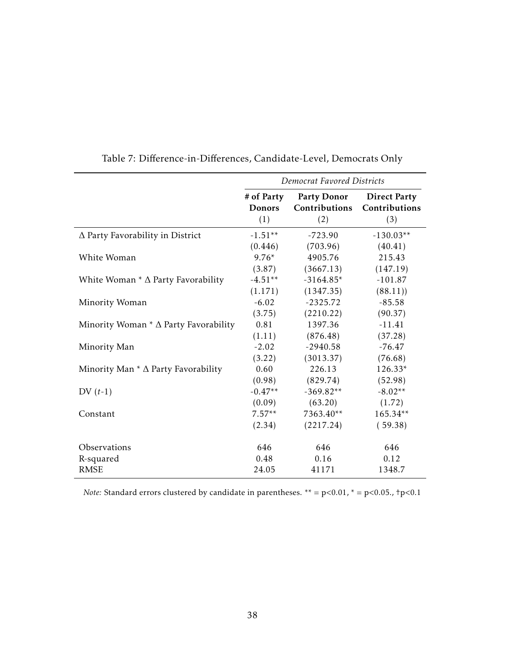|                                                | Democrat Favored Districts         |                                            |                                             |  |
|------------------------------------------------|------------------------------------|--------------------------------------------|---------------------------------------------|--|
|                                                | # of Party<br><b>Donors</b><br>(1) | <b>Party Donor</b><br>Contributions<br>(2) | <b>Direct Party</b><br>Contributions<br>(3) |  |
| $\Delta$ Party Favorability in District        | $-1.51**$                          | $-723.90$                                  | $-130.03**$                                 |  |
|                                                | (0.446)                            | (703.96)                                   | (40.41)                                     |  |
| White Woman                                    | $9.76*$                            | 4905.76                                    | 215.43                                      |  |
|                                                | (3.87)                             | (3667.13)                                  | (147.19)                                    |  |
| White Woman $*$ $\Delta$ Party Favorability    | $-4.51**$                          | $-3164.85*$                                | $-101.87$                                   |  |
|                                                | (1.171)                            | (1347.35)                                  | (88.11)                                     |  |
| Minority Woman                                 | $-6.02$                            | $-2325.72$                                 | $-85.58$                                    |  |
|                                                | (3.75)                             | (2210.22)                                  | (90.37)                                     |  |
| Minority Woman $*$ $\Delta$ Party Favorability | 0.81                               | 1397.36                                    | $-11.41$                                    |  |
|                                                | (1.11)                             | (876.48)                                   | (37.28)                                     |  |
| Minority Man                                   | $-2.02$                            | $-2940.58$                                 | $-76.47$                                    |  |
|                                                | (3.22)                             | (3013.37)                                  | (76.68)                                     |  |
| Minority Man $*$ $\Delta$ Party Favorability   | 0.60                               | 226.13                                     | 126.33*                                     |  |
|                                                | (0.98)                             | (829.74)                                   | (52.98)                                     |  |
| $DV(t-1)$                                      | $-0.47**$                          | $-369.82**$                                | $-8.02**$                                   |  |
|                                                | (0.09)                             | (63.20)                                    | (1.72)                                      |  |
| Constant                                       | $7.57**$                           | 7363.40**                                  | 165.34**                                    |  |
|                                                | (2.34)                             | (2217.24)                                  | (59.38)                                     |  |
| Observations                                   | 646                                | 646                                        | 646                                         |  |
| R-squared                                      | 0.48                               | 0.16                                       | 0.12                                        |  |
| <b>RMSE</b>                                    | 24.05                              | 41171                                      | 1348.7                                      |  |

<span id="page-38-0"></span>Table 7: Difference-in-Differences, Candidate-Level, Democrats Only

*Note:* Standard errors clustered by candidate in parentheses. \*\* = p*<*0.01, \* = p*<*0.05., †p*<*0.1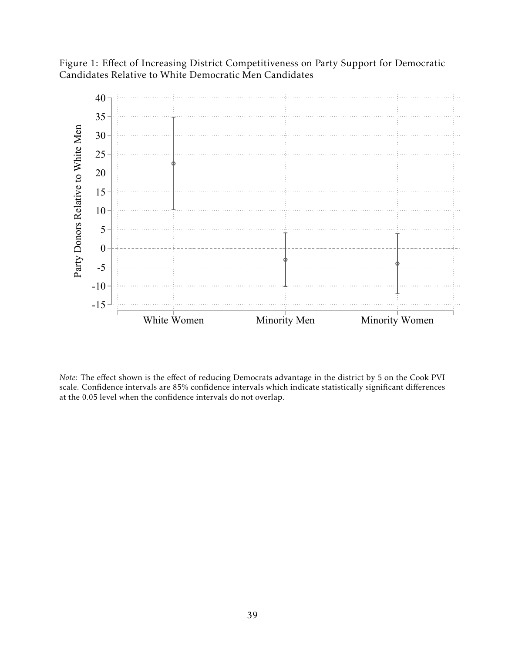<span id="page-39-0"></span>Figure 1: Effect of Increasing District Competitiveness on Party Support for Democratic Candidates Relative to White Democratic Men Candidates



*Note:* The effect shown is the effect of reducing Democrats advantage in the district by 5 on the Cook PVI scale. Confidence intervals are 85% confidence intervals which indicate statistically significant differences at the 0.05 level when the confidence intervals do not overlap.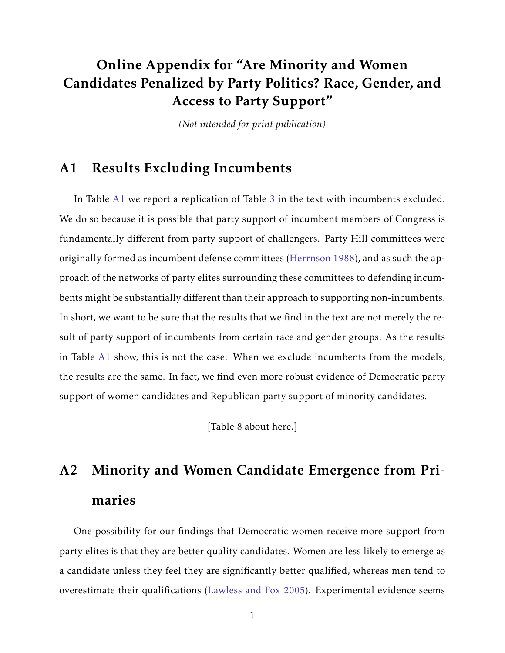# Online Appendix for "Are Minority and Women Candidates Penalized by Party Politics? Race, Gender, and Access to Party Support"

*(Not intended for print publication)*

# A1 Results Excluding Incumbents

In Table [A1](#page-33-0) we report a replication of Table [3](#page-34-0) in the text with incumbents excluded. We do so because it is possible that party support of incumbent members of Congress is fundamentally different from party support of challengers. Party Hill committees were originally formed as incumbent defense committees [\(Herrnson](#page-28-7) [1988\)](#page-28-7), and as such the approach of the networks of party elites surrounding these committees to defending incumbents might be substantially different than their approach to supporting non-incumbents. In short, we want to be sure that the results that we find in the text are not merely the result of party support of incumbents from certain race and gender groups. As the results in Table [A1](#page-33-0) show, this is not the case. When we exclude incumbents from the models, the results are the same. In fact, we find even more robust evidence of Democratic party support of women candidates and Republican party support of minority candidates.

[Table 8 about here.]

# A2 Minority and Women Candidate Emergence from Primaries

One possibility for our findings that Democratic women receive more support from party elites is that they are better quality candidates. Women are less likely to emerge as a candidate unless they feel they are significantly better qualified, whereas men tend to overestimate their qualifications [\(Lawless and Fox](#page-42-0) [2005\)](#page-42-0). Experimental evidence seems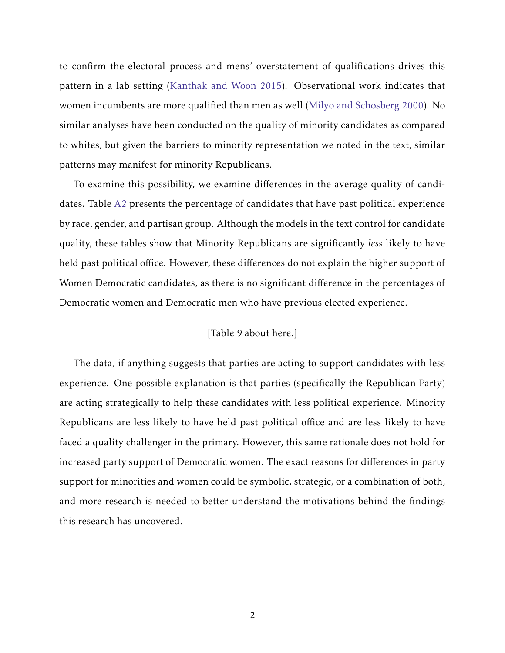to confirm the electoral process and mens' overstatement of qualifications drives this pattern in a lab setting [\(Kanthak and Woon](#page-29-8) [2015\)](#page-29-8). Observational work indicates that women incumbents are more qualified than men as well [\(Milyo and Schosberg](#page-42-1) [2000\)](#page-42-1). No similar analyses have been conducted on the quality of minority candidates as compared to whites, but given the barriers to minority representation we noted in the text, similar patterns may manifest for minority Republicans.

To examine this possibility, we examine differences in the average quality of candidates. Table [A2](#page-33-1) presents the percentage of candidates that have past political experience by race, gender, and partisan group. Although the models in the text control for candidate quality, these tables show that Minority Republicans are significantly *less* likely to have held past political office. However, these differences do not explain the higher support of Women Democratic candidates, as there is no significant difference in the percentages of Democratic women and Democratic men who have previous elected experience.

## [Table 9 about here.]

The data, if anything suggests that parties are acting to support candidates with less experience. One possible explanation is that parties (specifically the Republican Party) are acting strategically to help these candidates with less political experience. Minority Republicans are less likely to have held past political office and are less likely to have faced a quality challenger in the primary. However, this same rationale does not hold for increased party support of Democratic women. The exact reasons for differences in party support for minorities and women could be symbolic, strategic, or a combination of both, and more research is needed to better understand the motivations behind the findings this research has uncovered.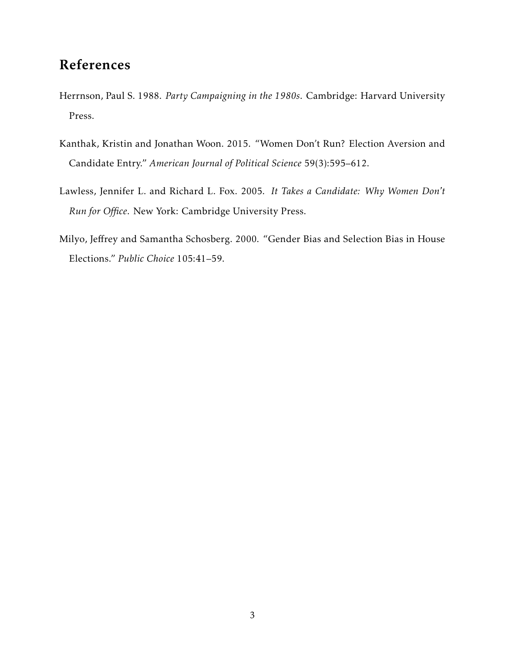# References

- Herrnson, Paul S. 1988. *Party Campaigning in the 1980s*. Cambridge: Harvard University Press.
- Kanthak, Kristin and Jonathan Woon. 2015. "Women Don't Run? Election Aversion and Candidate Entry." *American Journal of Political Science* 59(3):595–612.
- <span id="page-42-0"></span>Lawless, Jennifer L. and Richard L. Fox. 2005. *It Takes a Candidate: Why Women Don't Run for Office*. New York: Cambridge University Press.
- <span id="page-42-1"></span>Milyo, Jeffrey and Samantha Schosberg. 2000. "Gender Bias and Selection Bias in House Elections." *Public Choice* 105:41–59.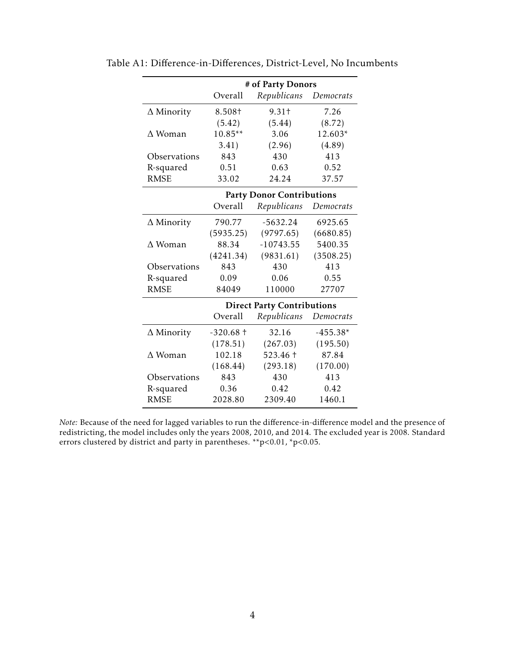|                   | # of Party Donors |                                   |            |  |
|-------------------|-------------------|-----------------------------------|------------|--|
|                   | Overall           | Republicans                       | Democrats  |  |
| $\Delta$ Minority | 8.508†            | 9.31 <sup>†</sup>                 | 7.26       |  |
|                   | (5.42)            | (5.44)                            | (8.72)     |  |
| $\Delta$ Woman    | $10.85**$         | 3.06                              | 12.603*    |  |
|                   | 3.41)             | (2.96)                            | (4.89)     |  |
| Observations      | 843               | 430                               | 413        |  |
| R-squared         | 0.51              | 0.63                              | 0.52       |  |
| <b>RMSE</b>       | 33.02             | 24.24                             | 37.57      |  |
|                   |                   | <b>Party Donor Contributions</b>  |            |  |
|                   | Overall           | Republicans                       | Democrats  |  |
| $\Delta$ Minority | 790.77            | $-5632.24$                        | 6925.65    |  |
|                   | (5935.25)         | (9797.65)                         | (6680.85)  |  |
| $\Delta$ Woman    | 88.34             | $-10743.55$                       | 5400.35    |  |
|                   | (4241.34)         | (9831.61)                         | (3508.25)  |  |
| Observations      | 843               | 430                               | 413        |  |
| R-squared         | 0.09              | 0.06                              | 0.55       |  |
| <b>RMSE</b>       | 84049             | 110000                            | 27707      |  |
|                   |                   | <b>Direct Party Contributions</b> |            |  |
|                   | Overall           | Republicans                       | Democrats  |  |
| $\Delta$ Minority | $-320.68 +$       | 32.16                             | $-455.38*$ |  |
|                   | (178.51)          | (267.03)                          | (195.50)   |  |
| $\Delta$ Woman    | 102.18            | 523.46 +                          | 87.84      |  |
|                   | (168.44)          | (293.18)                          | (170.00)   |  |
| Observations      | 843               | 430                               | 413        |  |
| R-squared         | 0.36              | 0.42                              | 0.42       |  |
| <b>RMSE</b>       | 2028.80           | 2309.40                           | 1460.1     |  |

Table A1: Difference-in-Differences, District-Level, No Incumbents

*Note:* Because of the need for lagged variables to run the difference-in-difference model and the presence of redistricting, the model includes only the years 2008, 2010, and 2014. The excluded year is 2008. Standard errors clustered by district and party in parentheses. \*\*p*<*0.01, \*p*<*0.05.